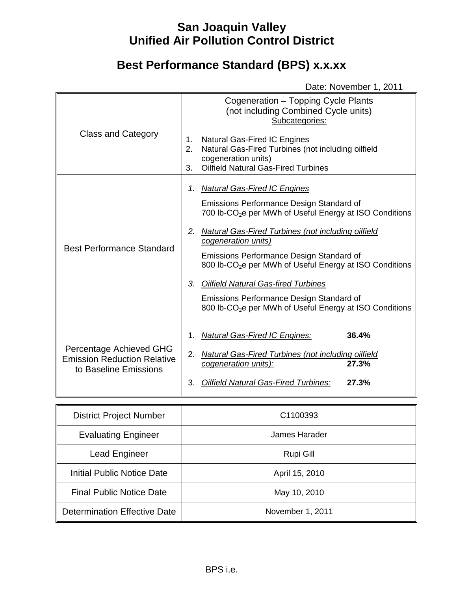# **San Joaquin Valley Unified Air Pollution Control District**

# **Best Performance Standard (BPS) x.x.xx**

Date: November 1, 2011

| <b>Class and Category</b>                                                              | Cogeneration - Topping Cycle Plants<br>(not including Combined Cycle units)<br>Subcategories:<br>Natural Gas-Fired IC Engines<br>1.<br>Natural Gas-Fired Turbines (not including oilfield<br>2.<br>cogeneration units)<br><b>Oilfield Natural Gas-Fired Turbines</b><br>3.                                                                                                                                                                                                                                                                       |
|----------------------------------------------------------------------------------------|--------------------------------------------------------------------------------------------------------------------------------------------------------------------------------------------------------------------------------------------------------------------------------------------------------------------------------------------------------------------------------------------------------------------------------------------------------------------------------------------------------------------------------------------------|
| <b>Best Performance Standard</b>                                                       | <b>Natural Gas-Fired IC Engines</b><br>1.<br>Emissions Performance Design Standard of<br>700 lb-CO <sub>2</sub> e per MWh of Useful Energy at ISO Conditions<br><b>Natural Gas-Fired Turbines (not including oilfield</b><br>2.<br>cogeneration units)<br>Emissions Performance Design Standard of<br>800 lb-CO <sub>2</sub> e per MWh of Useful Energy at ISO Conditions<br>3.<br><b>Oilfield Natural Gas-fired Turbines</b><br>Emissions Performance Design Standard of<br>800 lb-CO <sub>2</sub> e per MWh of Useful Energy at ISO Conditions |
| Percentage Achieved GHG<br><b>Emission Reduction Relative</b><br>to Baseline Emissions | <b>Natural Gas-Fired IC Engines:</b><br>36.4%<br>1.<br><b>Natural Gas-Fired Turbines (not including oilfield</b><br>2.<br>27.3%<br>cogeneration units):<br>27.3%<br><b>Oilfield Natural Gas-Fired Turbines:</b><br>3.                                                                                                                                                                                                                                                                                                                            |

| <b>District Project Number</b>      | C1100393         |
|-------------------------------------|------------------|
| <b>Evaluating Engineer</b>          | James Harader    |
| <b>Lead Engineer</b>                | Rupi Gill        |
| Initial Public Notice Date          | April 15, 2010   |
| <b>Final Public Notice Date</b>     | May 10, 2010     |
| <b>Determination Effective Date</b> | November 1, 2011 |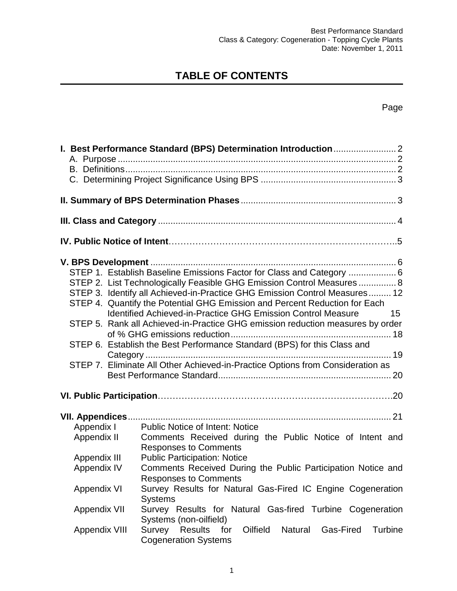# **TABLE OF CONTENTS**

# Page

|                      | STEP 1. Establish Baseline Emissions Factor for Class and Category  6<br>STEP 2. List Technologically Feasible GHG Emission Control Measures  8<br>STEP 3. Identify all Achieved-in-Practice GHG Emission Control Measures 12<br>STEP 4. Quantify the Potential GHG Emission and Percent Reduction for Each<br>Identified Achieved-in-Practice GHG Emission Control Measure<br>15<br>STEP 5. Rank all Achieved-in-Practice GHG emission reduction measures by order<br>STEP 6. Establish the Best Performance Standard (BPS) for this Class and<br>STEP 7. Eliminate All Other Achieved-in-Practice Options from Consideration as |
|----------------------|-----------------------------------------------------------------------------------------------------------------------------------------------------------------------------------------------------------------------------------------------------------------------------------------------------------------------------------------------------------------------------------------------------------------------------------------------------------------------------------------------------------------------------------------------------------------------------------------------------------------------------------|
|                      |                                                                                                                                                                                                                                                                                                                                                                                                                                                                                                                                                                                                                                   |
| VII. Appendices      |                                                                                                                                                                                                                                                                                                                                                                                                                                                                                                                                                                                                                                   |
| Appendix I           | <b>Public Notice of Intent: Notice</b>                                                                                                                                                                                                                                                                                                                                                                                                                                                                                                                                                                                            |
| Appendix II          | Comments Received during the Public Notice of Intent and                                                                                                                                                                                                                                                                                                                                                                                                                                                                                                                                                                          |
|                      | <b>Responses to Comments</b>                                                                                                                                                                                                                                                                                                                                                                                                                                                                                                                                                                                                      |
| Appendix III         | <b>Public Participation: Notice</b>                                                                                                                                                                                                                                                                                                                                                                                                                                                                                                                                                                                               |
| Appendix IV          | Comments Received During the Public Participation Notice and                                                                                                                                                                                                                                                                                                                                                                                                                                                                                                                                                                      |
|                      | <b>Responses to Comments</b>                                                                                                                                                                                                                                                                                                                                                                                                                                                                                                                                                                                                      |
| Appendix VI          | Survey Results for Natural Gas-Fired IC Engine Cogeneration                                                                                                                                                                                                                                                                                                                                                                                                                                                                                                                                                                       |
|                      | <b>Systems</b>                                                                                                                                                                                                                                                                                                                                                                                                                                                                                                                                                                                                                    |
| <b>Appendix VII</b>  | Survey Results for Natural Gas-fired Turbine Cogeneration                                                                                                                                                                                                                                                                                                                                                                                                                                                                                                                                                                         |
| <b>Appendix VIII</b> | Systems (non-oilfield)<br>Survey Results<br>Oilfield<br>for<br><b>Natural</b><br>Gas-Fired<br><b>Turbine</b>                                                                                                                                                                                                                                                                                                                                                                                                                                                                                                                      |
|                      | <b>Cogeneration Systems</b>                                                                                                                                                                                                                                                                                                                                                                                                                                                                                                                                                                                                       |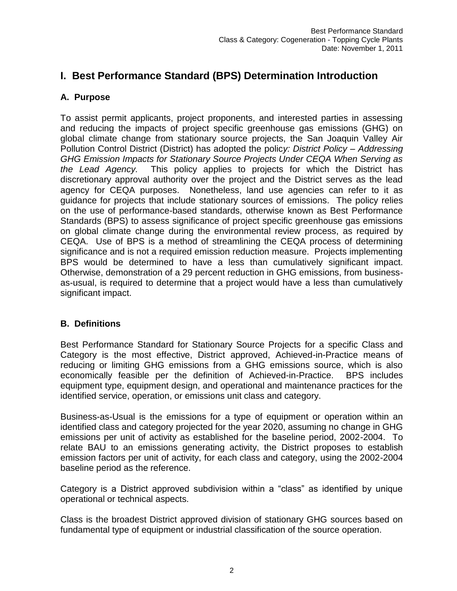# <span id="page-2-0"></span>**I. Best Performance Standard (BPS) Determination Introduction**

# <span id="page-2-1"></span>**A. Purpose**

To assist permit applicants, project proponents, and interested parties in assessing and reducing the impacts of project specific greenhouse gas emissions (GHG) on global climate change from stationary source projects, the San Joaquin Valley Air Pollution Control District (District) has adopted the polic*y: District Policy – Addressing GHG Emission Impacts for Stationary Source Projects Under CEQA When Serving as the Lead Agency.* This policy applies to projects for which the District has discretionary approval authority over the project and the District serves as the lead agency for CEQA purposes. Nonetheless, land use agencies can refer to it as guidance for projects that include stationary sources of emissions. The policy relies on the use of performance-based standards, otherwise known as Best Performance Standards (BPS) to assess significance of project specific greenhouse gas emissions on global climate change during the environmental review process, as required by CEQA. Use of BPS is a method of streamlining the CEQA process of determining significance and is not a required emission reduction measure. Projects implementing BPS would be determined to have a less than cumulatively significant impact. Otherwise, demonstration of a 29 percent reduction in GHG emissions, from businessas-usual, is required to determine that a project would have a less than cumulatively significant impact.

# <span id="page-2-2"></span>**B. Definitions**

Best Performance Standard for Stationary Source Projects for a specific Class and Category is the most effective, District approved, Achieved-in-Practice means of reducing or limiting GHG emissions from a GHG emissions source, which is also economically feasible per the definition of Achieved-in-Practice. BPS includes equipment type, equipment design, and operational and maintenance practices for the identified service, operation, or emissions unit class and category.

Business-as-Usual is the emissions for a type of equipment or operation within an identified class and category projected for the year 2020, assuming no change in GHG emissions per unit of activity as established for the baseline period, 2002-2004. To relate BAU to an emissions generating activity, the District proposes to establish emission factors per unit of activity, for each class and category, using the 2002-2004 baseline period as the reference.

Category is a District approved subdivision within a "class" as identified by unique operational or technical aspects.

<span id="page-2-3"></span>Class is the broadest District approved division of stationary GHG sources based on fundamental type of equipment or industrial classification of the source operation.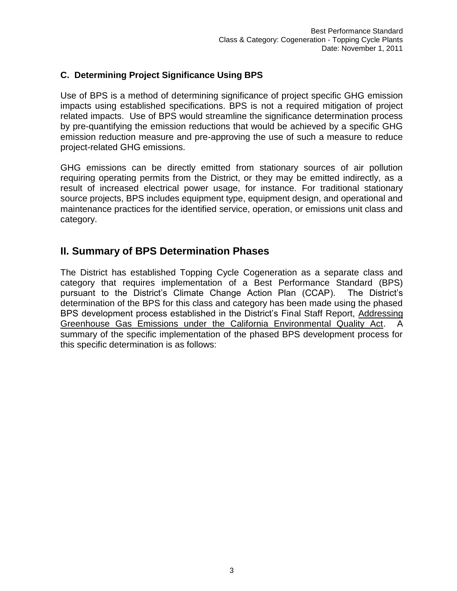### **C. Determining Project Significance Using BPS**

Use of BPS is a method of determining significance of project specific GHG emission impacts using established specifications. BPS is not a required mitigation of project related impacts. Use of BPS would streamline the significance determination process by pre-quantifying the emission reductions that would be achieved by a specific GHG emission reduction measure and pre-approving the use of such a measure to reduce project-related GHG emissions.

GHG emissions can be directly emitted from stationary sources of air pollution requiring operating permits from the District, or they may be emitted indirectly, as a result of increased electrical power usage, for instance. For traditional stationary source projects, BPS includes equipment type, equipment design, and operational and maintenance practices for the identified service, operation, or emissions unit class and category.

# <span id="page-3-0"></span>**II. Summary of BPS Determination Phases**

The District has established Topping Cycle Cogeneration as a separate class and category that requires implementation of a Best Performance Standard (BPS) pursuant to the District's Climate Change Action Plan (CCAP). The District's determination of the BPS for this class and category has been made using the phased BPS development process established in the District's Final Staff Report, Addressing Greenhouse Gas Emissions under the California Environmental Quality Act. A summary of the specific implementation of the phased BPS development process for this specific determination is as follows: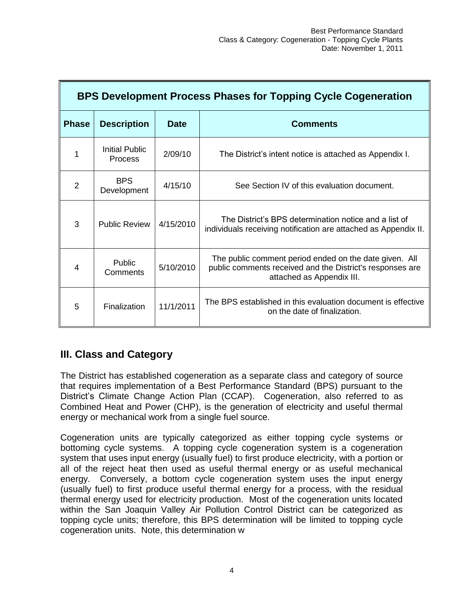| BPS Development Process Phases for Topping Cycle Cogeneration |                                  |             |                                                                                                                                                  |
|---------------------------------------------------------------|----------------------------------|-------------|--------------------------------------------------------------------------------------------------------------------------------------------------|
| <b>Phase</b>                                                  | <b>Description</b>               | <b>Date</b> | <b>Comments</b>                                                                                                                                  |
|                                                               | Initial Public<br><b>Process</b> | 2/09/10     | The District's intent notice is attached as Appendix I.                                                                                          |
| 2                                                             | <b>BPS</b><br>Development        | 4/15/10     | See Section IV of this evaluation document.                                                                                                      |
| 3                                                             | <b>Public Review</b>             | 4/15/2010   | The District's BPS determination notice and a list of<br>individuals receiving notification are attached as Appendix II.                         |
| 4                                                             | <b>Public</b><br>Comments        | 5/10/2010   | The public comment period ended on the date given. All<br>public comments received and the District's responses are<br>attached as Appendix III. |
| 5                                                             | Finalization                     | 11/1/2011   | The BPS established in this evaluation document is effective<br>on the date of finalization.                                                     |

# <span id="page-4-0"></span>**III. Class and Category**

The District has established cogeneration as a separate class and category of source that requires implementation of a Best Performance Standard (BPS) pursuant to the District's Climate Change Action Plan (CCAP). Cogeneration, also referred to as Combined Heat and Power (CHP), is the generation of electricity and useful thermal energy or mechanical work from a single fuel source.

Cogeneration units are typically categorized as either topping cycle systems or bottoming cycle systems. A topping cycle cogeneration system is a cogeneration system that uses input energy (usually fuel) to first produce electricity, with a portion or all of the reject heat then used as useful thermal energy or as useful mechanical energy. Conversely, a bottom cycle cogeneration system uses the input energy (usually fuel) to first produce useful thermal energy for a process, with the residual thermal energy used for electricity production. Most of the cogeneration units located within the San Joaquin Valley Air Pollution Control District can be categorized as topping cycle units; therefore, this BPS determination will be limited to topping cycle cogeneration units. Note, this determination w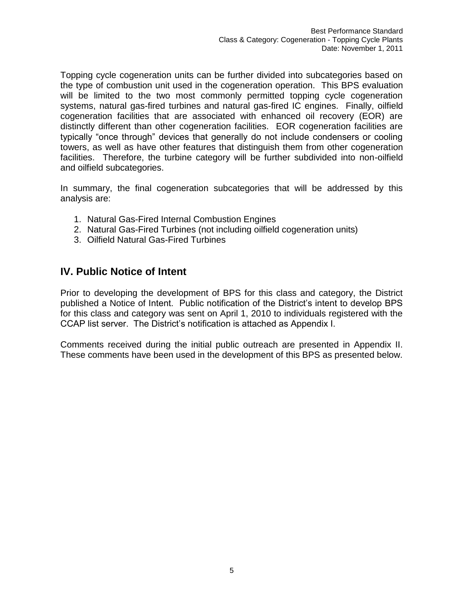Topping cycle cogeneration units can be further divided into subcategories based on the type of combustion unit used in the cogeneration operation. This BPS evaluation will be limited to the two most commonly permitted topping cycle cogeneration systems, natural gas-fired turbines and natural gas-fired IC engines. Finally, oilfield cogeneration facilities that are associated with enhanced oil recovery (EOR) are distinctly different than other cogeneration facilities. EOR cogeneration facilities are typically "once through" devices that generally do not include condensers or cooling towers, as well as have other features that distinguish them from other cogeneration facilities. Therefore, the turbine category will be further subdivided into non-oilfield and oilfield subcategories.

In summary, the final cogeneration subcategories that will be addressed by this analysis are:

- 1. Natural Gas-Fired Internal Combustion Engines
- 2. Natural Gas-Fired Turbines (not including oilfield cogeneration units)
- 3. Oilfield Natural Gas-Fired Turbines

# **IV. Public Notice of Intent**

Prior to developing the development of BPS for this class and category, the District published a Notice of Intent. Public notification of the District's intent to develop BPS for this class and category was sent on April 1, 2010 to individuals registered with the CCAP list server. The District's notification is attached as Appendix I.

Comments received during the initial public outreach are presented in Appendix II. These comments have been used in the development of this BPS as presented below.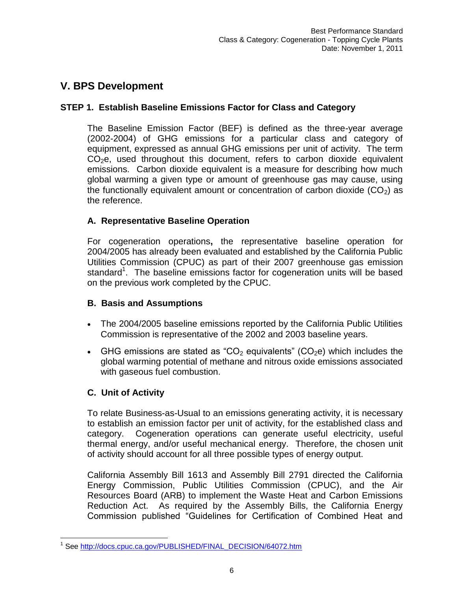# <span id="page-6-0"></span>**V. BPS Development**

# **STEP 1. Establish Baseline Emissions Factor for Class and Category**

The Baseline Emission Factor (BEF) is defined as the three-year average (2002-2004) of GHG emissions for a particular class and category of equipment, expressed as annual GHG emissions per unit of activity. The term  $CO<sub>2</sub>e$ , used throughout this document, refers to carbon dioxide equivalent emissions. Carbon dioxide equivalent is a measure for describing how much global warming a given type or amount of greenhouse gas may cause, using the functionally equivalent amount or concentration of carbon dioxide  $(CO<sub>2</sub>)$  as the reference.

# **A. Representative Baseline Operation**

For cogeneration operations**,** the representative baseline operation for 2004/2005 has already been evaluated and established by the California Public Utilities Commission (CPUC) as part of their 2007 greenhouse gas emission standard<sup>1</sup>. The baseline emissions factor for cogeneration units will be based on the previous work completed by the CPUC.

# **B. Basis and Assumptions**

- The 2004/2005 baseline emissions reported by the California Public Utilities Commission is representative of the 2002 and 2003 baseline years.
- GHG emissions are stated as "CO<sub>2</sub> equivalents" (CO<sub>2</sub>e) which includes the global warming potential of methane and nitrous oxide emissions associated with gaseous fuel combustion.

# **C. Unit of Activity**

To relate Business-as-Usual to an emissions generating activity, it is necessary to establish an emission factor per unit of activity, for the established class and category. Cogeneration operations can generate useful electricity, useful thermal energy, and/or useful mechanical energy. Therefore, the chosen unit of activity should account for all three possible types of energy output.

California Assembly Bill 1613 and Assembly Bill 2791 directed the California Energy Commission, Public Utilities Commission (CPUC), and the Air Resources Board (ARB) to implement the Waste Heat and Carbon Emissions Reduction Act. As required by the Assembly Bills, the California Energy Commission published "Guidelines for Certification of Combined Heat and

 $\overline{a}$ <sup>1</sup> See [http://docs.cpuc.ca.gov/PUBLISHED/FINAL\\_DECISION/64072.htm](http://docs.cpuc.ca.gov/PUBLISHED/FINAL_DECISION/64072.htm)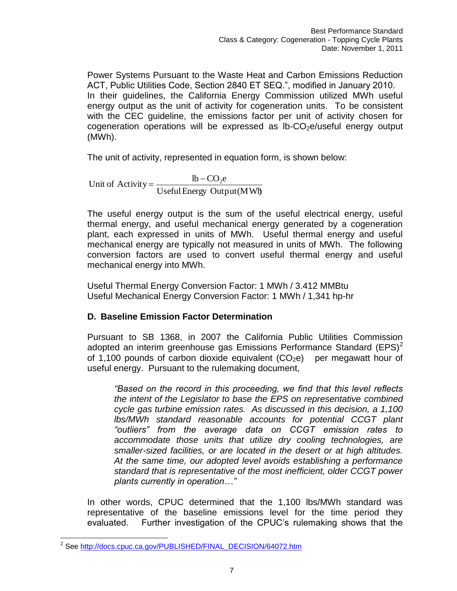Power Systems Pursuant to the Waste Heat and Carbon Emissions Reduction ACT, Public Utilities Code, Section 2840 ET SEQ.", modified in January 2010. In their guidelines, the California Energy Commission utilized MWh useful energy output as the unit of activity for cogeneration units. To be consistent with the CEC guideline, the emissions factor per unit of activity chosen for cogeneration operations will be expressed as  $lb$ -CO<sub>2</sub>e/useful energy output (MWh).

The unit of activity, represented in equation form, is shown below:

Useful Energy Output (MWh)  $\mathbf{lb} - \mathbf{CO}_2$ e Unit of Activity =  $\frac{lb - CO_2}{2}$ 

The useful energy output is the sum of the useful electrical energy, useful thermal energy, and useful mechanical energy generated by a cogeneration plant, each expressed in units of MWh. Useful thermal energy and useful mechanical energy are typically not measured in units of MWh. The following conversion factors are used to convert useful thermal energy and useful mechanical energy into MWh.

Useful Thermal Energy Conversion Factor: 1 MWh / 3.412 MMBtu Useful Mechanical Energy Conversion Factor: 1 MWh / 1,341 hp-hr

# **D. Baseline Emission Factor Determination**

Pursuant to SB 1368, in 2007 the California Public Utilities Commission adopted an interim greenhouse gas Emissions Performance Standard  $(EPS)^2$ of 1,100 pounds of carbon dioxide equivalent  $(CO<sub>2</sub>e)$  per megawatt hour of useful energy. Pursuant to the rulemaking document,

*"Based on the record in this proceeding, we find that this level reflects the intent of the Legislator to base the EPS on representative combined cycle gas turbine emission rates. As discussed in this decision, a 1,100 lbs/MWh standard reasonable accounts for potential CCGT plant "outliers" from the average data on CCGT emission rates to accommodate those units that utilize dry cooling technologies, are smaller-sized facilities, or are located in the desert or at high altitudes. At the same time, our adopted level avoids establishing a performance standard that is representative of the most inefficient, older CCGT power plants currently in operation…"*

In other words, CPUC determined that the 1,100 lbs/MWh standard was representative of the baseline emissions level for the time period they evaluated. Further investigation of the CPUC's rulemaking shows that the

 2 See [http://docs.cpuc.ca.gov/PUBLISHED/FINAL\\_DECISION/64072.htm](http://docs.cpuc.ca.gov/PUBLISHED/FINAL_DECISION/64072.htm)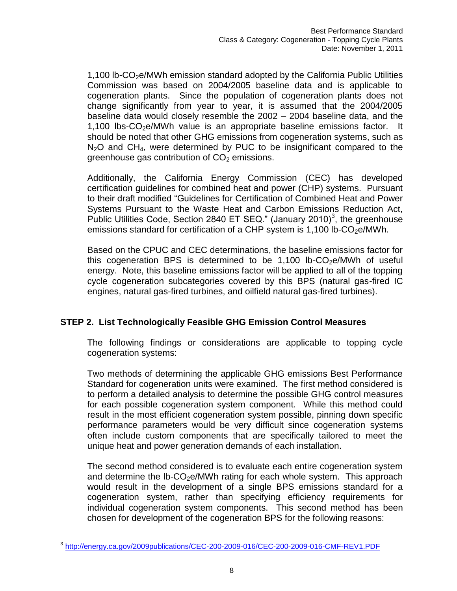1,100 lb- $CO<sub>2</sub>e/MWh$  emission standard adopted by the California Public Utilities Commission was based on 2004/2005 baseline data and is applicable to cogeneration plants. Since the population of cogeneration plants does not change significantly from year to year, it is assumed that the 2004/2005 baseline data would closely resemble the 2002 – 2004 baseline data, and the 1,100 lbs- $CO<sub>2</sub>e/MWh$  value is an appropriate baseline emissions factor. It should be noted that other GHG emissions from cogeneration systems, such as  $N<sub>2</sub>O$  and CH<sub>4</sub>, were determined by PUC to be insignificant compared to the greenhouse gas contribution of  $CO<sub>2</sub>$  emissions.

Additionally, the California Energy Commission (CEC) has developed certification guidelines for combined heat and power (CHP) systems. Pursuant to their draft modified "Guidelines for Certification of Combined Heat and Power Systems Pursuant to the Waste Heat and Carbon Emissions Reduction Act, Public Utilities Code, Section 2840 ET SEQ." (January 2010)<sup>3</sup>, the greenhouse emissions standard for certification of a CHP system is 1,100 lb- $CO<sub>2</sub>e/MWh$ .

Based on the CPUC and CEC determinations, the baseline emissions factor for this cogeneration BPS is determined to be  $1,100$  lb-CO<sub>2</sub>e/MWh of useful energy. Note, this baseline emissions factor will be applied to all of the topping cycle cogeneration subcategories covered by this BPS (natural gas-fired IC engines, natural gas-fired turbines, and oilfield natural gas-fired turbines).

# <span id="page-8-0"></span>**STEP 2. List Technologically Feasible GHG Emission Control Measures**

The following findings or considerations are applicable to topping cycle cogeneration systems:

Two methods of determining the applicable GHG emissions Best Performance Standard for cogeneration units were examined. The first method considered is to perform a detailed analysis to determine the possible GHG control measures for each possible cogeneration system component. While this method could result in the most efficient cogeneration system possible, pinning down specific performance parameters would be very difficult since cogeneration systems often include custom components that are specifically tailored to meet the unique heat and power generation demands of each installation.

The second method considered is to evaluate each entire cogeneration system and determine the  $lb$ -CO<sub>2</sub>e/MWh rating for each whole system. This approach would result in the development of a single BPS emissions standard for a cogeneration system, rather than specifying efficiency requirements for individual cogeneration system components. This second method has been chosen for development of the cogeneration BPS for the following reasons:

 3 <http://energy.ca.gov/2009publications/CEC-200-2009-016/CEC-200-2009-016-CMF-REV1.PDF>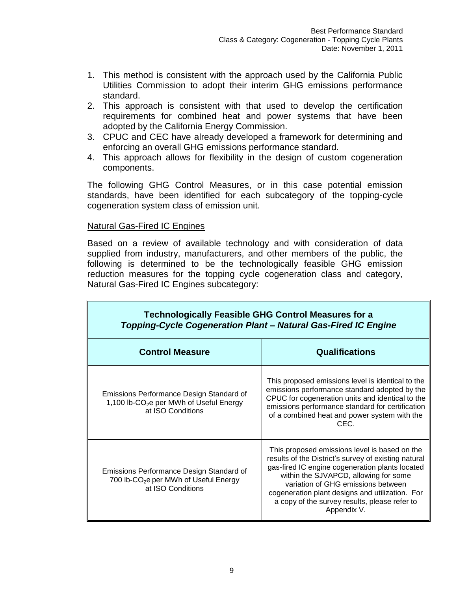- 1. This method is consistent with the approach used by the California Public Utilities Commission to adopt their interim GHG emissions performance standard.
- 2. This approach is consistent with that used to develop the certification requirements for combined heat and power systems that have been adopted by the California Energy Commission.
- 3. CPUC and CEC have already developed a framework for determining and enforcing an overall GHG emissions performance standard.
- 4. This approach allows for flexibility in the design of custom cogeneration components.

The following GHG Control Measures, or in this case potential emission standards, have been identified for each subcategory of the topping-cycle cogeneration system class of emission unit.

#### Natural Gas-Fired IC Engines

Based on a review of available technology and with consideration of data supplied from industry, manufacturers, and other members of the public, the following is determined to be the technologically feasible GHG emission reduction measures for the topping cycle cogeneration class and category, Natural Gas-Fired IC Engines subcategory:

| <b>Technologically Feasible GHG Control Measures for a</b><br>Topping-Cycle Cogeneration Plant - Natural Gas-Fired IC Engine |                                                                                                                                                                                                                                                                                                                                                            |
|------------------------------------------------------------------------------------------------------------------------------|------------------------------------------------------------------------------------------------------------------------------------------------------------------------------------------------------------------------------------------------------------------------------------------------------------------------------------------------------------|
| <b>Control Measure</b>                                                                                                       | <b>Qualifications</b>                                                                                                                                                                                                                                                                                                                                      |
| Emissions Performance Design Standard of<br>1,100 lb-CO <sub>2</sub> e per MWh of Useful Energy<br>at ISO Conditions         | This proposed emissions level is identical to the<br>emissions performance standard adopted by the<br>CPUC for cogeneration units and identical to the<br>emissions performance standard for certification<br>of a combined heat and power system with the<br>CEC.                                                                                         |
| Emissions Performance Design Standard of<br>700 lb-CO <sub>2</sub> e per MWh of Useful Energy<br>at ISO Conditions           | This proposed emissions level is based on the<br>results of the District's survey of existing natural<br>gas-fired IC engine cogeneration plants located<br>within the SJVAPCD, allowing for some<br>variation of GHG emissions between<br>cogeneration plant designs and utilization. For<br>a copy of the survey results, please refer to<br>Appendix V. |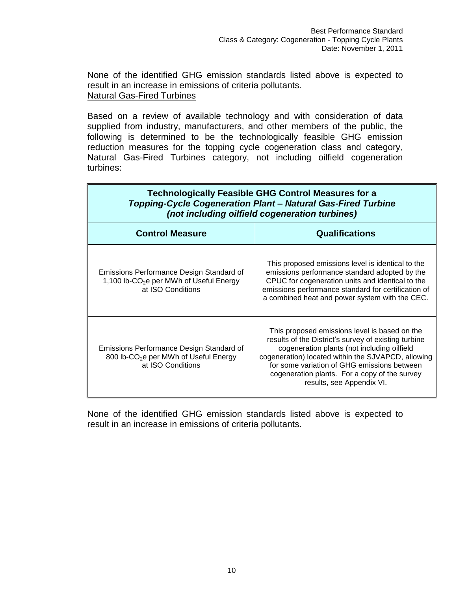None of the identified GHG emission standards listed above is expected to result in an increase in emissions of criteria pollutants. Natural Gas-Fired Turbines

Based on a review of available technology and with consideration of data supplied from industry, manufacturers, and other members of the public, the following is determined to be the technologically feasible GHG emission reduction measures for the topping cycle cogeneration class and category, Natural Gas-Fired Turbines category, not including oilfield cogeneration turbines:

| <b>Technologically Feasible GHG Control Measures for a</b><br>Topping-Cycle Cogeneration Plant - Natural Gas-Fired Turbine<br>(not including oilfield cogeneration turbines) |                                                                                                                                                                                                                                                                                                                                         |
|------------------------------------------------------------------------------------------------------------------------------------------------------------------------------|-----------------------------------------------------------------------------------------------------------------------------------------------------------------------------------------------------------------------------------------------------------------------------------------------------------------------------------------|
| <b>Control Measure</b>                                                                                                                                                       | <b>Qualifications</b>                                                                                                                                                                                                                                                                                                                   |
| Emissions Performance Design Standard of<br>1,100 lb-CO <sub>2</sub> e per MWh of Useful Energy<br>at ISO Conditions                                                         | This proposed emissions level is identical to the<br>emissions performance standard adopted by the<br>CPUC for cogeneration units and identical to the<br>emissions performance standard for certification of<br>a combined heat and power system with the CEC.                                                                         |
| Emissions Performance Design Standard of<br>800 lb-CO <sub>2</sub> e per MWh of Useful Energy<br>at ISO Conditions                                                           | This proposed emissions level is based on the<br>results of the District's survey of existing turbine<br>cogeneration plants (not including oilfield<br>cogeneration) located within the SJVAPCD, allowing<br>for some variation of GHG emissions between<br>cogeneration plants. For a copy of the survey<br>results, see Appendix VI. |

None of the identified GHG emission standards listed above is expected to result in an increase in emissions of criteria pollutants.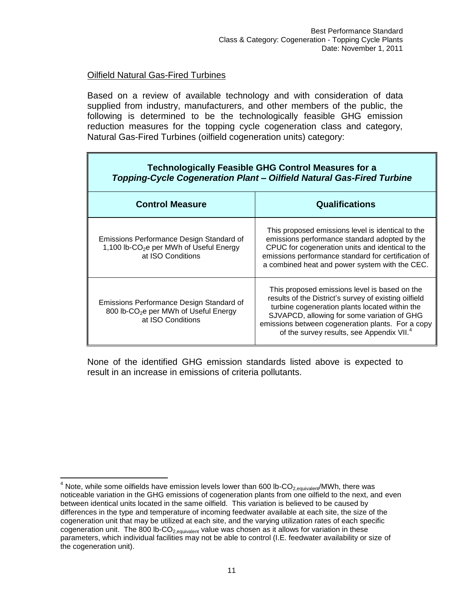#### Oilfield Natural Gas-Fired Turbines

 $\overline{a}$ 

Based on a review of available technology and with consideration of data supplied from industry, manufacturers, and other members of the public, the following is determined to be the technologically feasible GHG emission reduction measures for the topping cycle cogeneration class and category, Natural Gas-Fired Turbines (oilfield cogeneration units) category:

| <b>Technologically Feasible GHG Control Measures for a</b><br>Topping-Cycle Cogeneration Plant - Oilfield Natural Gas-Fired Turbine |                                                                                                                                                                                                                                                                                                                       |  |
|-------------------------------------------------------------------------------------------------------------------------------------|-----------------------------------------------------------------------------------------------------------------------------------------------------------------------------------------------------------------------------------------------------------------------------------------------------------------------|--|
| <b>Control Measure</b>                                                                                                              | <b>Qualifications</b>                                                                                                                                                                                                                                                                                                 |  |
| Emissions Performance Design Standard of<br>1,100 lb-CO <sub>2</sub> e per MWh of Useful Energy<br>at ISO Conditions                | This proposed emissions level is identical to the<br>emissions performance standard adopted by the<br>CPUC for cogeneration units and identical to the<br>emissions performance standard for certification of<br>a combined heat and power system with the CEC.                                                       |  |
| Emissions Performance Design Standard of<br>800 lb-CO <sub>2</sub> e per MWh of Useful Energy<br>at ISO Conditions                  | This proposed emissions level is based on the<br>results of the District's survey of existing oilfield<br>turbine cogeneration plants located within the<br>SJVAPCD, allowing for some variation of GHG<br>emissions between cogeneration plants. For a copy<br>of the survey results, see Appendix VII. <sup>4</sup> |  |

None of the identified GHG emission standards listed above is expected to result in an increase in emissions of criteria pollutants.

<sup>&</sup>lt;sup>4</sup> Note, while some oilfields have emission levels lower than 600 lb-CO<sub>2,equivalent</sub>/MWh, there was noticeable variation in the GHG emissions of cogeneration plants from one oilfield to the next, and even between identical units located in the same oilfield. This variation is believed to be caused by differences in the type and temperature of incoming feedwater available at each site, the size of the cogeneration unit that may be utilized at each site, and the varying utilization rates of each specific cogeneration unit. The 800 lb-CO<sub>2,equivalent</sub> value was chosen as it allows for variation in these parameters, which individual facilities may not be able to control (I.E. feedwater availability or size of the cogeneration unit).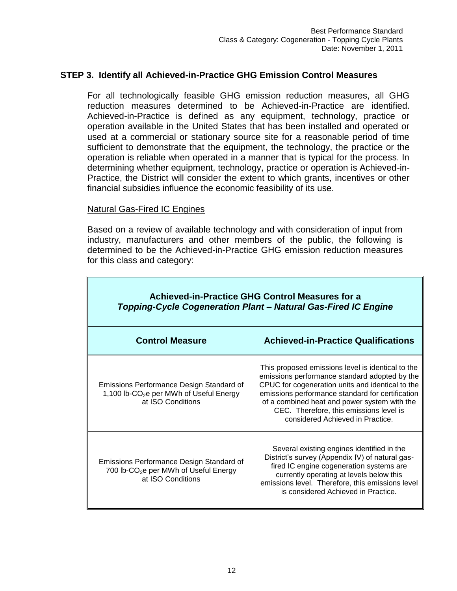#### <span id="page-12-0"></span>**STEP 3. Identify all Achieved-in-Practice GHG Emission Control Measures**

For all technologically feasible GHG emission reduction measures, all GHG reduction measures determined to be Achieved-in-Practice are identified. Achieved-in-Practice is defined as any equipment, technology, practice or operation available in the United States that has been installed and operated or used at a commercial or stationary source site for a reasonable period of time sufficient to demonstrate that the equipment, the technology, the practice or the operation is reliable when operated in a manner that is typical for the process. In determining whether equipment, technology, practice or operation is Achieved-in-Practice, the District will consider the extent to which grants, incentives or other financial subsidies influence the economic feasibility of its use.

#### Natural Gas-Fired IC Engines

Based on a review of available technology and with consideration of input from industry, manufacturers and other members of the public, the following is determined to be the Achieved-in-Practice GHG emission reduction measures for this class and category:

| <b>Achieved-in-Practice GHG Control Measures for a</b><br>Topping-Cycle Cogeneration Plant - Natural Gas-Fired IC Engine |                                                                                                                                                                                                                                                                                                                                           |  |
|--------------------------------------------------------------------------------------------------------------------------|-------------------------------------------------------------------------------------------------------------------------------------------------------------------------------------------------------------------------------------------------------------------------------------------------------------------------------------------|--|
| <b>Control Measure</b>                                                                                                   | <b>Achieved-in-Practice Qualifications</b>                                                                                                                                                                                                                                                                                                |  |
| Emissions Performance Design Standard of<br>1,100 lb-CO <sub>2</sub> e per MWh of Useful Energy<br>at ISO Conditions     | This proposed emissions level is identical to the<br>emissions performance standard adopted by the<br>CPUC for cogeneration units and identical to the<br>emissions performance standard for certification<br>of a combined heat and power system with the<br>CEC. Therefore, this emissions level is<br>considered Achieved in Practice. |  |
| Emissions Performance Design Standard of<br>700 lb-CO <sub>2</sub> e per MWh of Useful Energy<br>at ISO Conditions       | Several existing engines identified in the<br>District's survey (Appendix IV) of natural gas-<br>fired IC engine cogeneration systems are<br>currently operating at levels below this<br>emissions level. Therefore, this emissions level<br>is considered Achieved in Practice.                                                          |  |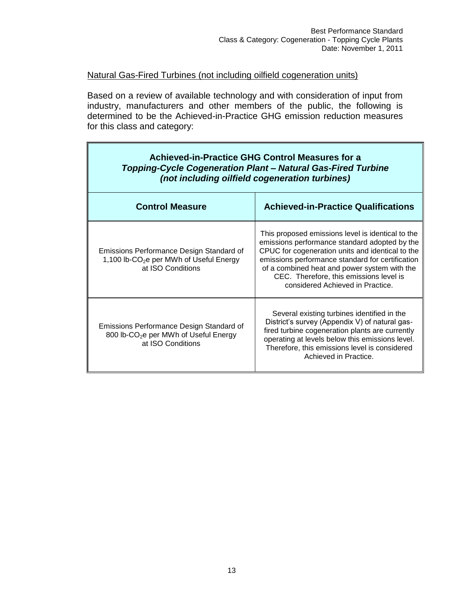#### Natural Gas-Fired Turbines (not including oilfield cogeneration units)

Ē.

Based on a review of available technology and with consideration of input from industry, manufacturers and other members of the public, the following is determined to be the Achieved-in-Practice GHG emission reduction measures for this class and category:

| <b>Achieved-in-Practice GHG Control Measures for a</b><br><b>Topping-Cycle Cogeneration Plant - Natural Gas-Fired Turbine</b><br>(not including oilfield cogeneration turbines) |                                                                                                                                                                                                                                                                                                                                           |  |
|---------------------------------------------------------------------------------------------------------------------------------------------------------------------------------|-------------------------------------------------------------------------------------------------------------------------------------------------------------------------------------------------------------------------------------------------------------------------------------------------------------------------------------------|--|
| <b>Control Measure</b>                                                                                                                                                          | <b>Achieved-in-Practice Qualifications</b>                                                                                                                                                                                                                                                                                                |  |
| Emissions Performance Design Standard of<br>1,100 lb-CO <sub>2</sub> e per MWh of Useful Energy<br>at ISO Conditions                                                            | This proposed emissions level is identical to the<br>emissions performance standard adopted by the<br>CPUC for cogeneration units and identical to the<br>emissions performance standard for certification<br>of a combined heat and power system with the<br>CEC. Therefore, this emissions level is<br>considered Achieved in Practice. |  |
| Emissions Performance Design Standard of<br>800 lb-CO <sub>2</sub> e per MWh of Useful Energy<br>at ISO Conditions                                                              | Several existing turbines identified in the<br>District's survey (Appendix V) of natural gas-<br>fired turbine cogeneration plants are currently<br>operating at levels below this emissions level.<br>Therefore, this emissions level is considered<br>Achieved in Practice.                                                             |  |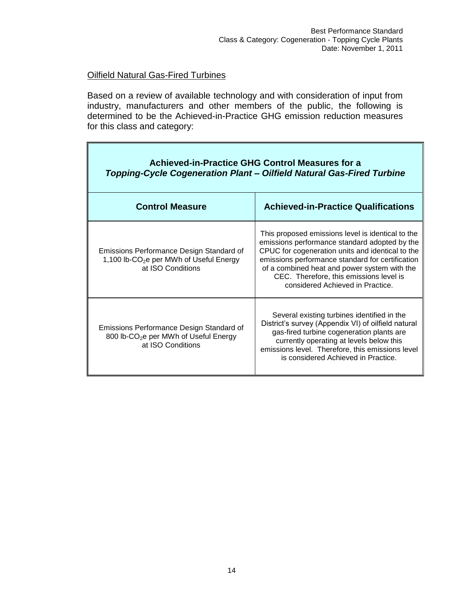$\blacksquare$ 

#### Oilfield Natural Gas-Fired Turbines

 $\blacksquare$ 

Based on a review of available technology and with consideration of input from industry, manufacturers and other members of the public, the following is determined to be the Achieved-in-Practice GHG emission reduction measures for this class and category:

| <b>Achieved-in-Practice GHG Control Measures for a</b><br>Topping-Cycle Cogeneration Plant – Oilfield Natural Gas-Fired Turbine |                                                                                                                                                                                                                                                                                                                                           |  |
|---------------------------------------------------------------------------------------------------------------------------------|-------------------------------------------------------------------------------------------------------------------------------------------------------------------------------------------------------------------------------------------------------------------------------------------------------------------------------------------|--|
| <b>Control Measure</b>                                                                                                          | <b>Achieved-in-Practice Qualifications</b>                                                                                                                                                                                                                                                                                                |  |
| Emissions Performance Design Standard of<br>1,100 lb-CO <sub>2</sub> e per MWh of Useful Energy<br>at ISO Conditions            | This proposed emissions level is identical to the<br>emissions performance standard adopted by the<br>CPUC for cogeneration units and identical to the<br>emissions performance standard for certification<br>of a combined heat and power system with the<br>CEC. Therefore, this emissions level is<br>considered Achieved in Practice. |  |
| Emissions Performance Design Standard of<br>800 lb-CO <sub>2</sub> e per MWh of Useful Energy<br>at ISO Conditions              | Several existing turbines identified in the<br>District's survey (Appendix VI) of oilfield natural<br>gas-fired turbine cogeneration plants are<br>currently operating at levels below this<br>emissions level. Therefore, this emissions level<br>is considered Achieved in Practice.                                                    |  |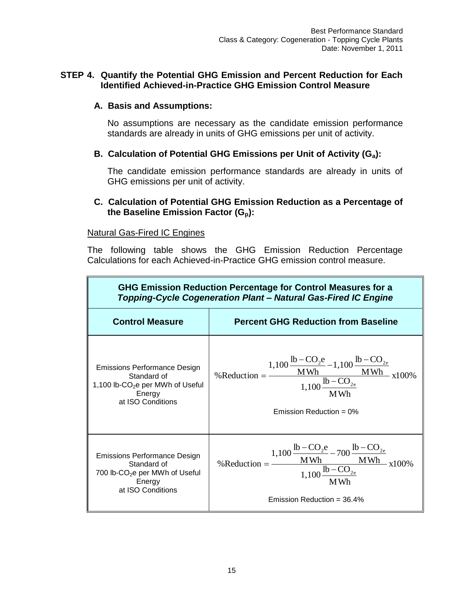#### <span id="page-15-0"></span>**STEP 4. Quantify the Potential GHG Emission and Percent Reduction for Each Identified Achieved-in-Practice GHG Emission Control Measure**

#### **A. Basis and Assumptions:**

No assumptions are necessary as the candidate emission performance standards are already in units of GHG emissions per unit of activity.

#### **B. Calculation of Potential GHG Emissions per Unit of Activity (Ga):**

The candidate emission performance standards are already in units of GHG emissions per unit of activity.

#### **C. Calculation of Potential GHG Emission Reduction as a Percentage of the Baseline Emission Factor (Gp):**

#### Natural Gas-Fired IC Engines

The following table shows the GHG Emission Reduction Percentage Calculations for each Achieved-in-Practice GHG emission control measure.

| GHG Emission Reduction Percentage for Control Measures for a<br>Topping-Cycle Cogeneration Plant - Natural Gas-Fired IC Engine    |                                                                                                                                                                                                                                                |
|-----------------------------------------------------------------------------------------------------------------------------------|------------------------------------------------------------------------------------------------------------------------------------------------------------------------------------------------------------------------------------------------|
| <b>Control Measure</b>                                                                                                            | <b>Percent GHG Reduction from Baseline</b>                                                                                                                                                                                                     |
| <b>Emissions Performance Design</b><br>Standard of<br>1,100 lb-CO <sub>2</sub> e per MWh of Useful<br>Energy<br>at ISO Conditions | %Reduction = $\frac{1,100 \frac{\text{lb} - \text{CO}_2\text{e}}{\text{MWh}} - 1,100 \frac{\text{lb} - \text{CO}_2\text{e}}{\text{MWh}}}{1,100 \frac{\text{lb} - \text{CO}_2\text{e}}{\text{MWh}}} \times 100\%$<br>Emission Reduction = $0\%$ |
| Emissions Performance Design<br>Standard of<br>700 lb-CO <sub>2</sub> e per MWh of Useful<br>Energy<br>at ISO Conditions          | %Reduction = $\frac{1,100 \frac{\text{lb} - \text{CO}_2\text{e}}{\text{MWh}} - 700 \frac{\text{lb} - \text{CO}_{2\text{e}}}{\text{MWh}}}{1,100 \frac{\text{lb} - \text{CO}_{2\text{e}}}{\text{MWh}}} \times$<br>Emission Reduction = $36.4\%$  |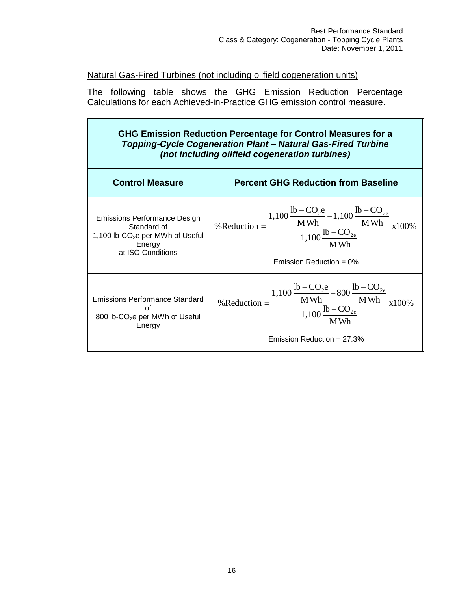$\blacksquare$ 

#### Natural Gas-Fired Turbines (not including oilfield cogeneration units)

ī.

The following table shows the GHG Emission Reduction Percentage Calculations for each Achieved-in-Practice GHG emission control measure.

| GHG Emission Reduction Percentage for Control Measures for a<br><b>Topping-Cycle Cogeneration Plant - Natural Gas-Fired Turbine</b><br>(not including oilfield cogeneration turbines) |                                                                                                                                                                                                                                                     |
|---------------------------------------------------------------------------------------------------------------------------------------------------------------------------------------|-----------------------------------------------------------------------------------------------------------------------------------------------------------------------------------------------------------------------------------------------------|
| <b>Control Measure</b>                                                                                                                                                                | <b>Percent GHG Reduction from Baseline</b>                                                                                                                                                                                                          |
| <b>Emissions Performance Design</b><br>Standard of<br>1,100 lb-CO <sub>2</sub> e per MWh of Useful<br>Energy<br>at ISO Conditions                                                     | %Reduction = $\frac{1,100 \frac{\text{lb} - \text{CO}_2\text{e}}{\text{MWh}} - 1,100 \frac{\text{lb} - \text{CO}_{2\text{e}}}{\text{MWh}}}{1,100 \frac{\text{lb} - \text{CO}_{2\text{e}}}{\text{MWh}}}$ x100%<br>Emission Reduction = $0\%$         |
| Emissions Performance Standard<br>Ωf<br>800 lb-CO <sub>2</sub> e per MWh of Useful<br>Energy                                                                                          | %Reduction = $\frac{1,100 \frac{\text{lb} - \text{CO}_2\text{e}}{\text{MWh}} - 800 \frac{\text{lb} - \text{CO}_{2\text{e}}}{\text{MWh}}}{1,100 \frac{\text{lb} - \text{CO}_{2\text{e}}}{\text{MWh}}} \times 100\%$<br>Emission Reduction = $27.3\%$ |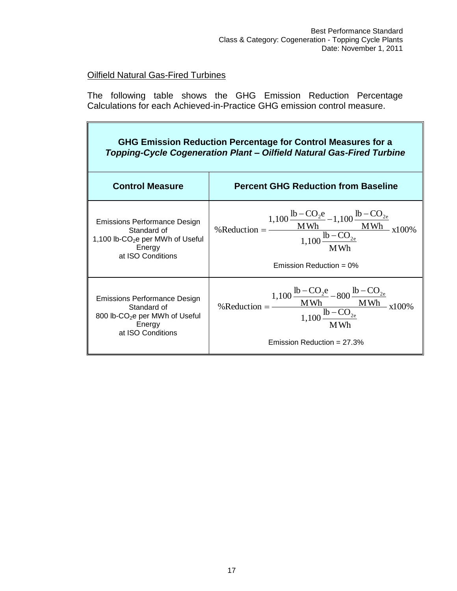# Oilfield Natural Gas-Fired Turbines

i.

The following table shows the GHG Emission Reduction Percentage Calculations for each Achieved-in-Practice GHG emission control measure.

| GHG Emission Reduction Percentage for Control Measures for a<br>Topping-Cycle Cogeneration Plant - Oilfield Natural Gas-Fired Turbine |                                                                                                                                                                                                                                                     |  |  |
|---------------------------------------------------------------------------------------------------------------------------------------|-----------------------------------------------------------------------------------------------------------------------------------------------------------------------------------------------------------------------------------------------------|--|--|
| <b>Control Measure</b>                                                                                                                | <b>Percent GHG Reduction from Baseline</b>                                                                                                                                                                                                          |  |  |
| Emissions Performance Design<br>Standard of<br>1,100 lb- $CO2e$ per MWh of Useful<br>Energy<br>at ISO Conditions                      | %Reduction = $\frac{1,100 \frac{\text{lb} - \text{CO}_2\text{e}}{\text{MWh}} - 1,100 \frac{\text{lb} - \text{CO}_{2\text{e}}}{\text{MWh}}}{1,100 \frac{\text{lb} - \text{CO}_{2\text{e}}}{\text{MWh}}}$ x100%<br>Emission Reduction = $0\%$         |  |  |
| Emissions Performance Design<br>Standard of<br>800 lb-CO <sub>2</sub> e per MWh of Useful<br>Energy<br>at ISO Conditions              | %Reduction = $\frac{1,100 \frac{\text{lb} - \text{CO}_2\text{e}}{\text{MWh}} - 800 \frac{\text{lb} - \text{CO}_{2\text{e}}}{\text{MWh}}}{1,100 \frac{\text{lb} - \text{CO}_{2\text{e}}}{\text{MWh}}} \times 100\%$<br>Emission Reduction = $27.3\%$ |  |  |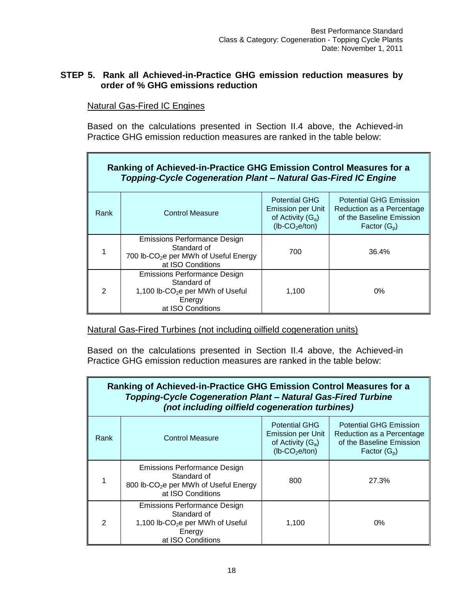#### <span id="page-18-0"></span>**STEP 5. Rank all Achieved-in-Practice GHG emission reduction measures by order of % GHG emissions reduction**

Natural Gas-Fired IC Engines

Based on the calculations presented in Section II.4 above, the Achieved-in Practice GHG emission reduction measures are ranked in the table below:

| Ranking of Achieved-in-Practice GHG Emission Control Measures for a<br>Topping-Cycle Cogeneration Plant - Natural Gas-Fired IC Engine |                                                                                                                                   |                                                                                                          |                                                                                                          |
|---------------------------------------------------------------------------------------------------------------------------------------|-----------------------------------------------------------------------------------------------------------------------------------|----------------------------------------------------------------------------------------------------------|----------------------------------------------------------------------------------------------------------|
| Rank                                                                                                                                  | <b>Control Measure</b>                                                                                                            | <b>Potential GHG</b><br><b>Emission per Unit</b><br>of Activity $(G_a)$<br>$(lb$ -CO <sub>2</sub> e/ton) | <b>Potential GHG Emission</b><br>Reduction as a Percentage<br>of the Baseline Emission<br>Factor $(G_p)$ |
|                                                                                                                                       | <b>Emissions Performance Design</b><br>Standard of<br>700 lb-CO <sub>2</sub> e per MWh of Useful Energy<br>at ISO Conditions      | 700                                                                                                      | 36.4%                                                                                                    |
| $\mathcal{P}$                                                                                                                         | <b>Emissions Performance Design</b><br>Standard of<br>1,100 lb-CO <sub>2</sub> e per MWh of Useful<br>Energy<br>at ISO Conditions | 1,100                                                                                                    | $0\%$                                                                                                    |

Natural Gas-Fired Turbines (not including oilfield cogeneration units)

Based on the calculations presented in Section II.4 above, the Achieved-in Practice GHG emission reduction measures are ranked in the table below:

| Ranking of Achieved-in-Practice GHG Emission Control Measures for a<br>Topping-Cycle Cogeneration Plant - Natural Gas-Fired Turbine<br>(not including oilfield cogeneration turbines) |                                                                                                                                                                                                                                                |       |       |
|---------------------------------------------------------------------------------------------------------------------------------------------------------------------------------------|------------------------------------------------------------------------------------------------------------------------------------------------------------------------------------------------------------------------------------------------|-------|-------|
| Rank                                                                                                                                                                                  | <b>Potential GHG</b><br><b>Potential GHG Emission</b><br><b>Emission per Unit</b><br>Reduction as a Percentage<br><b>Control Measure</b><br>of Activity $(G_a)$<br>of the Baseline Emission<br>$(lb$ -CO <sub>2</sub> e/ton)<br>Factor $(G_p)$ |       |       |
|                                                                                                                                                                                       | Emissions Performance Design<br>Standard of<br>800 lb-CO <sub>2</sub> e per MWh of Useful Energy<br>at ISO Conditions                                                                                                                          | 800   | 27.3% |
| $\mathcal{P}$                                                                                                                                                                         | Emissions Performance Design<br>Standard of<br>1,100 lb-CO <sub>2</sub> e per MWh of Useful<br>Energy<br>at ISO Conditions                                                                                                                     | 1,100 | $0\%$ |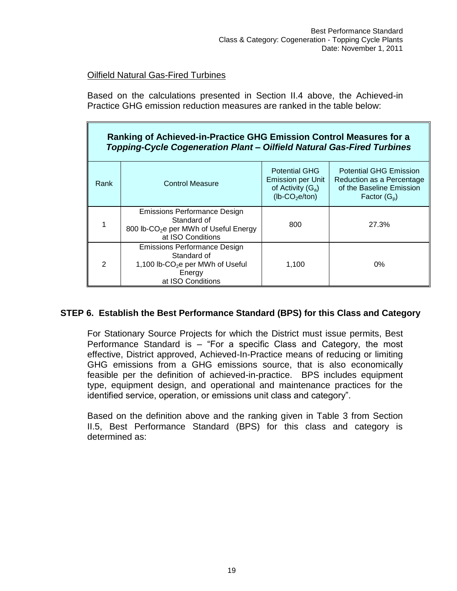### Oilfield Natural Gas-Fired Turbines

Based on the calculations presented in Section II.4 above, the Achieved-in Practice GHG emission reduction measures are ranked in the table below:

# **Ranking of Achieved-in-Practice GHG Emission Control Measures for a** *Topping-Cycle Cogeneration Plant – Oilfield Natural Gas-Fired Turbines*

| <b>Rank</b>   | <b>Control Measure</b>                                                                                                            | <b>Potential GHG</b><br><b>Emission per Unit</b><br>of Activity $(G_a)$<br>$(lb$ -CO <sub>2</sub> e/ton) | <b>Potential GHG Emission</b><br>Reduction as a Percentage<br>of the Baseline Emission<br>Factor $(G_p)$ |
|---------------|-----------------------------------------------------------------------------------------------------------------------------------|----------------------------------------------------------------------------------------------------------|----------------------------------------------------------------------------------------------------------|
|               | <b>Emissions Performance Design</b><br>Standard of<br>800 lb-CO <sub>2</sub> e per MWh of Useful Energy<br>at ISO Conditions      | 800                                                                                                      | 27.3%                                                                                                    |
| $\mathcal{P}$ | <b>Emissions Performance Design</b><br>Standard of<br>1,100 lb-CO <sub>2</sub> e per MWh of Useful<br>Energy<br>at ISO Conditions | 1.100                                                                                                    | $0\%$                                                                                                    |

# <span id="page-19-0"></span>**STEP 6. Establish the Best Performance Standard (BPS) for this Class and Category**

For Stationary Source Projects for which the District must issue permits, Best Performance Standard is – "For a specific Class and Category, the most effective, District approved, Achieved-In-Practice means of reducing or limiting GHG emissions from a GHG emissions source, that is also economically feasible per the definition of achieved-in-practice. BPS includes equipment type, equipment design, and operational and maintenance practices for the identified service, operation, or emissions unit class and category".

Based on the definition above and the ranking given in Table 3 from Section II.5, Best Performance Standard (BPS) for this class and category is determined as: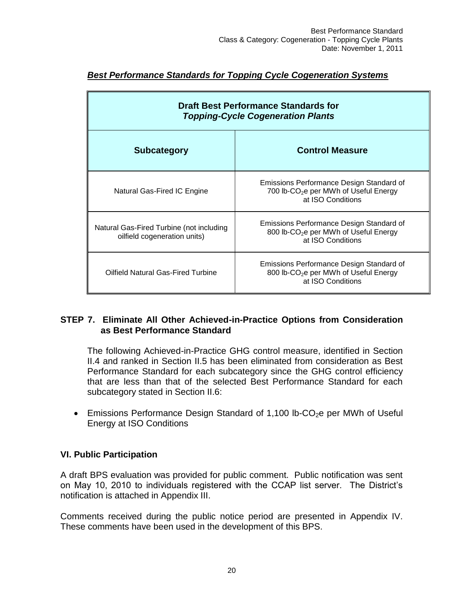| <b>Draft Best Performance Standards for</b><br><b>Topping-Cycle Cogeneration Plants</b> |                                                                                                                    |  |  |
|-----------------------------------------------------------------------------------------|--------------------------------------------------------------------------------------------------------------------|--|--|
| <b>Control Measure</b><br><b>Subcategory</b>                                            |                                                                                                                    |  |  |
| Natural Gas-Fired IC Engine                                                             | Emissions Performance Design Standard of<br>700 lb-CO <sub>2</sub> e per MWh of Useful Energy<br>at ISO Conditions |  |  |
| Natural Gas-Fired Turbine (not including<br>oilfield cogeneration units)                | Emissions Performance Design Standard of<br>800 lb-CO <sub>2</sub> e per MWh of Useful Energy<br>at ISO Conditions |  |  |
| Oilfield Natural Gas-Fired Turbine                                                      | Emissions Performance Design Standard of<br>800 lb-CO <sub>2</sub> e per MWh of Useful Energy<br>at ISO Conditions |  |  |

# *Best Performance Standards for Topping Cycle Cogeneration Systems*

#### <span id="page-20-0"></span>**STEP 7. Eliminate All Other Achieved-in-Practice Options from Consideration as Best Performance Standard**

The following Achieved-in-Practice GHG control measure, identified in Section II.4 and ranked in Section II.5 has been eliminated from consideration as Best Performance Standard for each subcategory since the GHG control efficiency that are less than that of the selected Best Performance Standard for each subcategory stated in Section II.6:

**Emissions Performance Design Standard of 1,100 lb-CO<sub>2</sub>e per MWh of Useful** Energy at ISO Conditions

#### **VI. Public Participation**

A draft BPS evaluation was provided for public comment. Public notification was sent on May 10, 2010 to individuals registered with the CCAP list server. The District's notification is attached in Appendix III.

<span id="page-20-1"></span>Comments received during the public notice period are presented in Appendix IV. These comments have been used in the development of this BPS.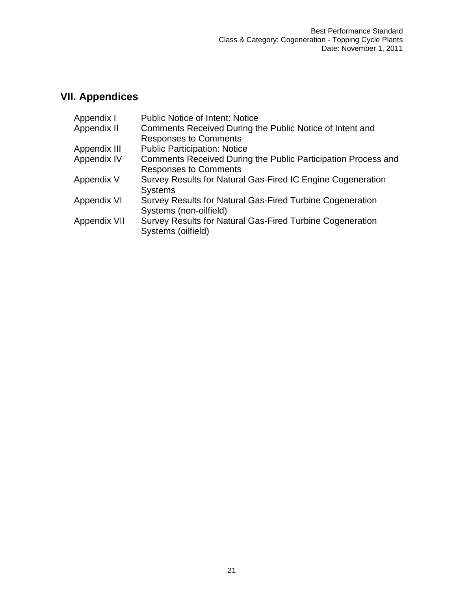# **VII. Appendices**

| Appendix I   | Public Notice of Intent: Notice                               |
|--------------|---------------------------------------------------------------|
| Appendix II  | Comments Received During the Public Notice of Intent and      |
|              | <b>Responses to Comments</b>                                  |
| Appendix III | <b>Public Participation: Notice</b>                           |
| Appendix IV  | Comments Received During the Public Participation Process and |
|              | <b>Responses to Comments</b>                                  |
| Appendix V   | Survey Results for Natural Gas-Fired IC Engine Cogeneration   |
|              | <b>Systems</b>                                                |
| Appendix VI  | Survey Results for Natural Gas-Fired Turbine Cogeneration     |
|              | Systems (non-oilfield)                                        |
| Appendix VII | Survey Results for Natural Gas-Fired Turbine Cogeneration     |
|              | Systems (oilfield)                                            |
|              |                                                               |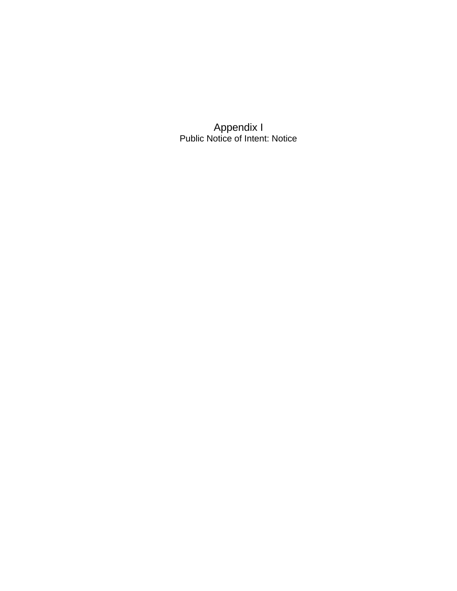Appendix I Public Notice of Intent: Notice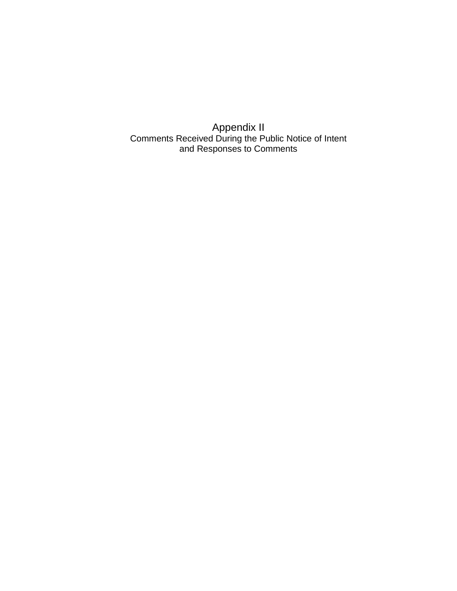Appendix II Comments Received During the Public Notice of Intent and Responses to Comments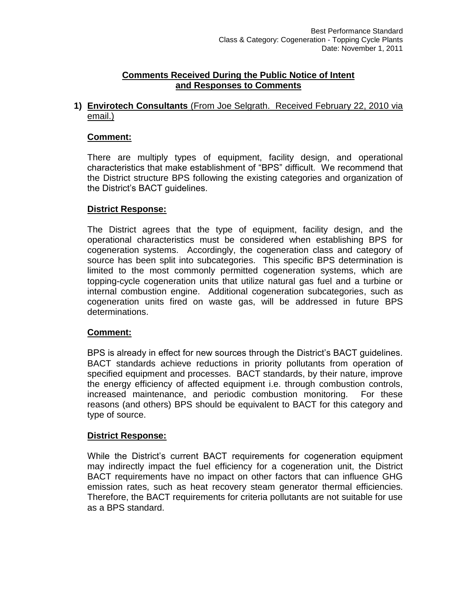#### **Comments Received During the Public Notice of Intent and Responses to Comments**

**1) Envirotech Consultants** (From Joe Selgrath. Received February 22, 2010 via email.)

#### **Comment:**

There are multiply types of equipment, facility design, and operational characteristics that make establishment of "BPS" difficult. We recommend that the District structure BPS following the existing categories and organization of the District's BACT guidelines.

#### **District Response:**

The District agrees that the type of equipment, facility design, and the operational characteristics must be considered when establishing BPS for cogeneration systems. Accordingly, the cogeneration class and category of source has been split into subcategories. This specific BPS determination is limited to the most commonly permitted cogeneration systems, which are topping-cycle cogeneration units that utilize natural gas fuel and a turbine or internal combustion engine. Additional cogeneration subcategories, such as cogeneration units fired on waste gas, will be addressed in future BPS determinations.

#### **Comment:**

BPS is already in effect for new sources through the District's BACT guidelines. BACT standards achieve reductions in priority pollutants from operation of specified equipment and processes. BACT standards, by their nature, improve the energy efficiency of affected equipment i.e. through combustion controls, increased maintenance, and periodic combustion monitoring. For these reasons (and others) BPS should be equivalent to BACT for this category and type of source.

#### **District Response:**

While the District's current BACT requirements for cogeneration equipment may indirectly impact the fuel efficiency for a cogeneration unit, the District BACT requirements have no impact on other factors that can influence GHG emission rates, such as heat recovery steam generator thermal efficiencies. Therefore, the BACT requirements for criteria pollutants are not suitable for use as a BPS standard.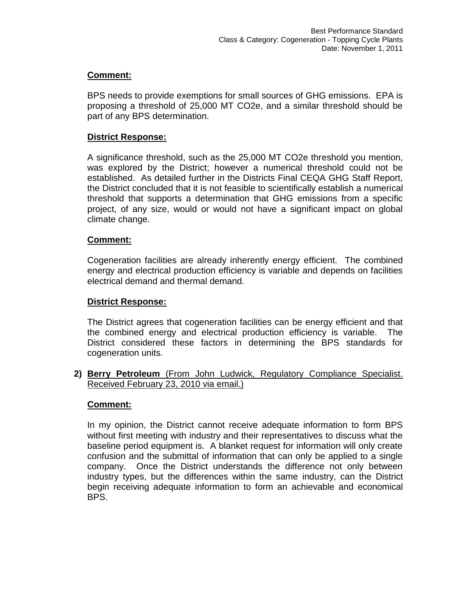BPS needs to provide exemptions for small sources of GHG emissions. EPA is proposing a threshold of 25,000 MT CO2e, and a similar threshold should be part of any BPS determination.

#### **District Response:**

A significance threshold, such as the 25,000 MT CO2e threshold you mention, was explored by the District; however a numerical threshold could not be established. As detailed further in the Districts Final CEQA GHG Staff Report, the District concluded that it is not feasible to scientifically establish a numerical threshold that supports a determination that GHG emissions from a specific project, of any size, would or would not have a significant impact on global climate change.

#### **Comment:**

Cogeneration facilities are already inherently energy efficient. The combined energy and electrical production efficiency is variable and depends on facilities electrical demand and thermal demand.

#### **District Response:**

The District agrees that cogeneration facilities can be energy efficient and that the combined energy and electrical production efficiency is variable. The District considered these factors in determining the BPS standards for cogeneration units.

**2) Berry Petroleum** (From John Ludwick, Regulatory Compliance Specialist. Received February 23, 2010 via email.)

#### **Comment:**

In my opinion, the District cannot receive adequate information to form BPS without first meeting with industry and their representatives to discuss what the baseline period equipment is. A blanket request for information will only create confusion and the submittal of information that can only be applied to a single company. Once the District understands the difference not only between industry types, but the differences within the same industry, can the District begin receiving adequate information to form an achievable and economical BPS.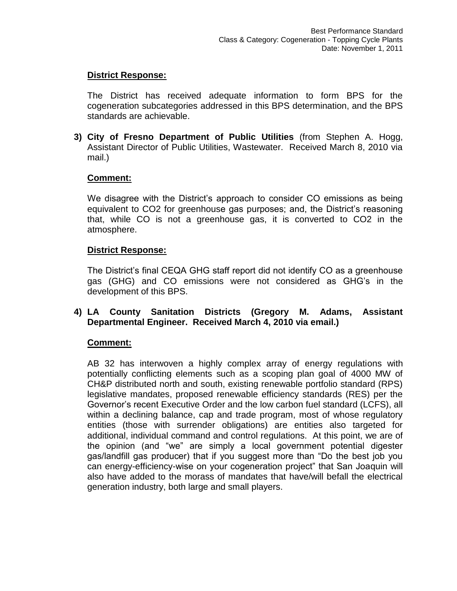#### **District Response:**

The District has received adequate information to form BPS for the cogeneration subcategories addressed in this BPS determination, and the BPS standards are achievable.

**3) City of Fresno Department of Public Utilities** (from Stephen A. Hogg, Assistant Director of Public Utilities, Wastewater. Received March 8, 2010 via mail.)

#### **Comment:**

We disagree with the District's approach to consider CO emissions as being equivalent to CO2 for greenhouse gas purposes; and, the District's reasoning that, while CO is not a greenhouse gas, it is converted to CO2 in the atmosphere.

#### **District Response:**

The District's final CEQA GHG staff report did not identify CO as a greenhouse gas (GHG) and CO emissions were not considered as GHG's in the development of this BPS.

#### **4) LA County Sanitation Districts (Gregory M. Adams, Assistant Departmental Engineer. Received March 4, 2010 via email.)**

#### **Comment:**

AB 32 has interwoven a highly complex array of energy regulations with potentially conflicting elements such as a scoping plan goal of 4000 MW of CH&P distributed north and south, existing renewable portfolio standard (RPS) legislative mandates, proposed renewable efficiency standards (RES) per the Governor's recent Executive Order and the low carbon fuel standard (LCFS), all within a declining balance, cap and trade program, most of whose regulatory entities (those with surrender obligations) are entities also targeted for additional, individual command and control regulations. At this point, we are of the opinion (and "we" are simply a local government potential digester gas/landfill gas producer) that if you suggest more than "Do the best job you can energy-efficiency-wise on your cogeneration project" that San Joaquin will also have added to the morass of mandates that have/will befall the electrical generation industry, both large and small players.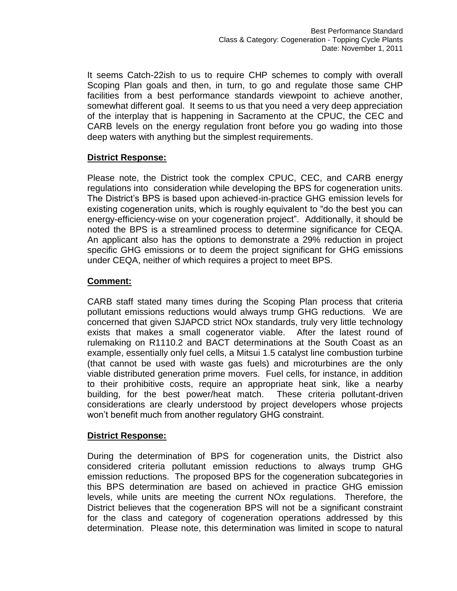It seems Catch-22ish to us to require CHP schemes to comply with overall Scoping Plan goals and then, in turn, to go and regulate those same CHP facilities from a best performance standards viewpoint to achieve another, somewhat different goal. It seems to us that you need a very deep appreciation of the interplay that is happening in Sacramento at the CPUC, the CEC and CARB levels on the energy regulation front before you go wading into those deep waters with anything but the simplest requirements.

#### **District Response:**

Please note, the District took the complex CPUC, CEC, and CARB energy regulations into consideration while developing the BPS for cogeneration units. The District's BPS is based upon achieved-in-practice GHG emission levels for existing cogeneration units, which is roughly equivalent to "do the best you can energy-efficiency-wise on your cogeneration project". Additionally, it should be noted the BPS is a streamlined process to determine significance for CEQA. An applicant also has the options to demonstrate a 29% reduction in project specific GHG emissions or to deem the project significant for GHG emissions under CEQA, neither of which requires a project to meet BPS.

#### **Comment:**

CARB staff stated many times during the Scoping Plan process that criteria pollutant emissions reductions would always trump GHG reductions. We are concerned that given SJAPCD strict NOx standards, truly very little technology exists that makes a small cogenerator viable. After the latest round of rulemaking on R1110.2 and BACT determinations at the South Coast as an example, essentially only fuel cells, a Mitsui 1.5 catalyst line combustion turbine (that cannot be used with waste gas fuels) and microturbines are the only viable distributed generation prime movers. Fuel cells, for instance, in addition to their prohibitive costs, require an appropriate heat sink, like a nearby building, for the best power/heat match. These criteria pollutant-driven considerations are clearly understood by project developers whose projects won't benefit much from another regulatory GHG constraint.

#### **District Response:**

During the determination of BPS for cogeneration units, the District also considered criteria pollutant emission reductions to always trump GHG emission reductions. The proposed BPS for the cogeneration subcategories in this BPS determination are based on achieved in practice GHG emission levels, while units are meeting the current NOx regulations. Therefore, the District believes that the cogeneration BPS will not be a significant constraint for the class and category of cogeneration operations addressed by this determination. Please note, this determination was limited in scope to natural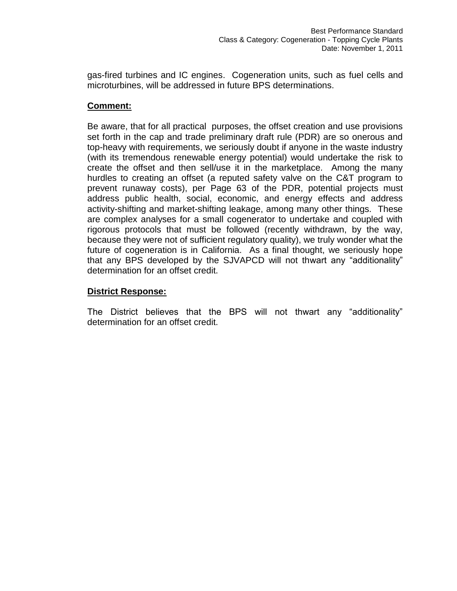gas-fired turbines and IC engines. Cogeneration units, such as fuel cells and microturbines, will be addressed in future BPS determinations.

#### **Comment:**

Be aware, that for all practical purposes, the offset creation and use provisions set forth in the cap and trade preliminary draft rule (PDR) are so onerous and top-heavy with requirements, we seriously doubt if anyone in the waste industry (with its tremendous renewable energy potential) would undertake the risk to create the offset and then sell/use it in the marketplace. Among the many hurdles to creating an offset (a reputed safety valve on the C&T program to prevent runaway costs), per Page 63 of the PDR, potential projects must address public health, social, economic, and energy effects and address activity-shifting and market-shifting leakage, among many other things. These are complex analyses for a small cogenerator to undertake and coupled with rigorous protocols that must be followed (recently withdrawn, by the way, because they were not of sufficient regulatory quality), we truly wonder what the future of cogeneration is in California. As a final thought, we seriously hope that any BPS developed by the SJVAPCD will not thwart any "additionality" determination for an offset credit.

#### **District Response:**

The District believes that the BPS will not thwart any "additionality" determination for an offset credit.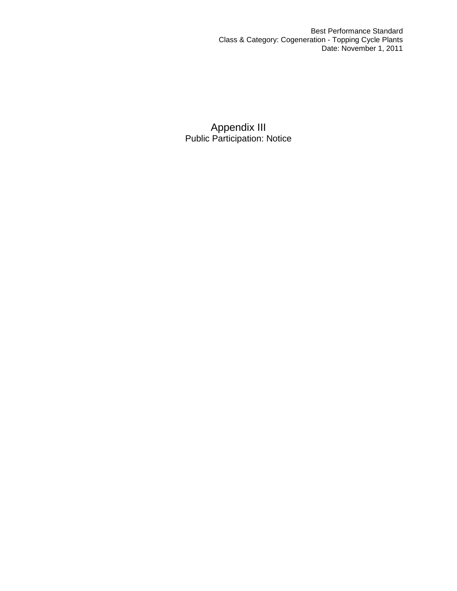Best Performance Standard Class & Category: Cogeneration - Topping Cycle Plants Date: November 1, 2011

Appendix III Public Participation: Notice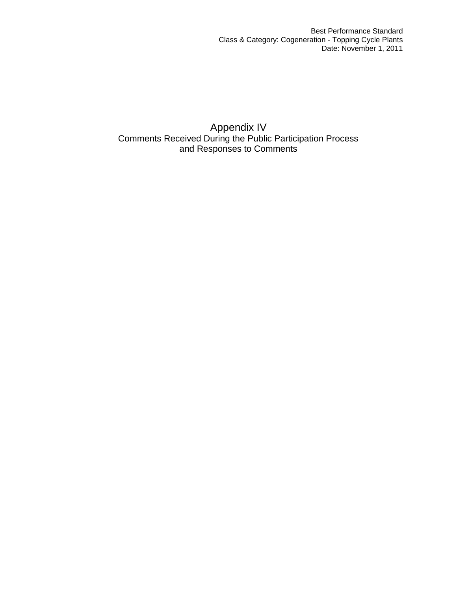Appendix IV Comments Received During the Public Participation Process and Responses to Comments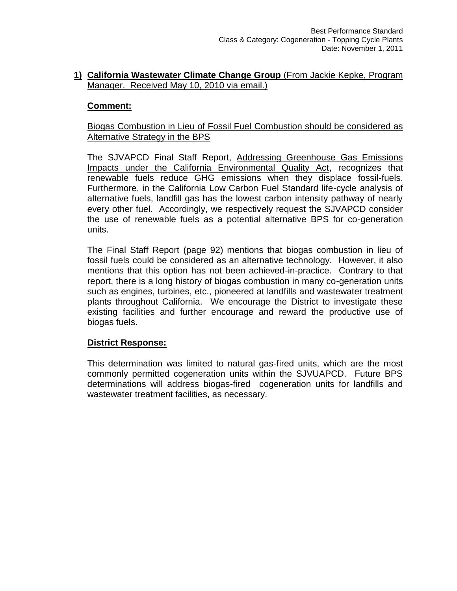#### **1) California Wastewater Climate Change Group** (From Jackie Kepke, Program Manager. Received May 10, 2010 via email.)

#### **Comment:**

#### Biogas Combustion in Lieu of Fossil Fuel Combustion should be considered as Alternative Strategy in the BPS

The SJVAPCD Final Staff Report, Addressing Greenhouse Gas Emissions Impacts under the California Environmental Quality Act, recognizes that renewable fuels reduce GHG emissions when they displace fossil-fuels. Furthermore, in the California Low Carbon Fuel Standard life-cycle analysis of alternative fuels, landfill gas has the lowest carbon intensity pathway of nearly every other fuel. Accordingly, we respectively request the SJVAPCD consider the use of renewable fuels as a potential alternative BPS for co-generation units.

The Final Staff Report (page 92) mentions that biogas combustion in lieu of fossil fuels could be considered as an alternative technology. However, it also mentions that this option has not been achieved-in-practice. Contrary to that report, there is a long history of biogas combustion in many co-generation units such as engines, turbines, etc., pioneered at landfills and wastewater treatment plants throughout California. We encourage the District to investigate these existing facilities and further encourage and reward the productive use of biogas fuels.

#### **District Response:**

This determination was limited to natural gas-fired units, which are the most commonly permitted cogeneration units within the SJVUAPCD. Future BPS determinations will address biogas-fired cogeneration units for landfills and wastewater treatment facilities, as necessary.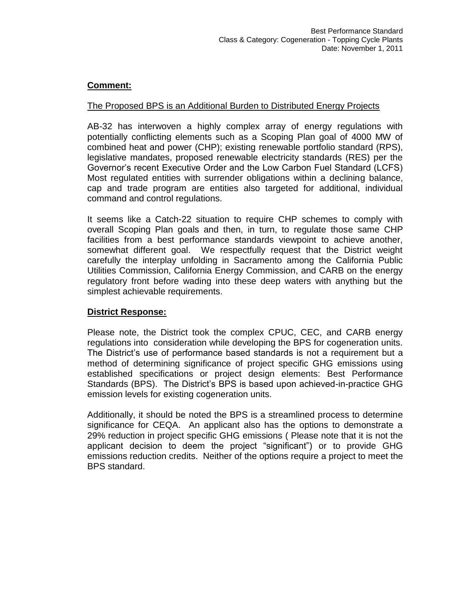#### The Proposed BPS is an Additional Burden to Distributed Energy Projects

AB-32 has interwoven a highly complex array of energy regulations with potentially conflicting elements such as a Scoping Plan goal of 4000 MW of combined heat and power (CHP); existing renewable portfolio standard (RPS), legislative mandates, proposed renewable electricity standards (RES) per the Governor's recent Executive Order and the Low Carbon Fuel Standard (LCFS) Most regulated entities with surrender obligations within a declining balance, cap and trade program are entities also targeted for additional, individual command and control regulations.

It seems like a Catch-22 situation to require CHP schemes to comply with overall Scoping Plan goals and then, in turn, to regulate those same CHP facilities from a best performance standards viewpoint to achieve another, somewhat different goal. We respectfully request that the District weight carefully the interplay unfolding in Sacramento among the California Public Utilities Commission, California Energy Commission, and CARB on the energy regulatory front before wading into these deep waters with anything but the simplest achievable requirements.

#### **District Response:**

Please note, the District took the complex CPUC, CEC, and CARB energy regulations into consideration while developing the BPS for cogeneration units. The District's use of performance based standards is not a requirement but a method of determining significance of project specific GHG emissions using established specifications or project design elements: Best Performance Standards (BPS). The District's BPS is based upon achieved-in-practice GHG emission levels for existing cogeneration units.

Additionally, it should be noted the BPS is a streamlined process to determine significance for CEQA. An applicant also has the options to demonstrate a 29% reduction in project specific GHG emissions ( Please note that it is not the applicant decision to deem the project "significant") or to provide GHG emissions reduction credits. Neither of the options require a project to meet the BPS standard.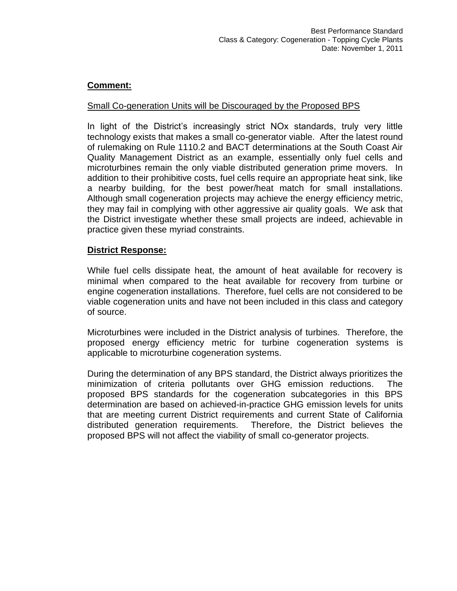#### Small Co-generation Units will be Discouraged by the Proposed BPS

In light of the District's increasingly strict NOx standards, truly very little technology exists that makes a small co-generator viable. After the latest round of rulemaking on Rule 1110.2 and BACT determinations at the South Coast Air Quality Management District as an example, essentially only fuel cells and microturbines remain the only viable distributed generation prime movers. In addition to their prohibitive costs, fuel cells require an appropriate heat sink, like a nearby building, for the best power/heat match for small installations. Although small cogeneration projects may achieve the energy efficiency metric, they may fail in complying with other aggressive air quality goals. We ask that the District investigate whether these small projects are indeed, achievable in practice given these myriad constraints.

#### **District Response:**

While fuel cells dissipate heat, the amount of heat available for recovery is minimal when compared to the heat available for recovery from turbine or engine cogeneration installations. Therefore, fuel cells are not considered to be viable cogeneration units and have not been included in this class and category of source.

Microturbines were included in the District analysis of turbines. Therefore, the proposed energy efficiency metric for turbine cogeneration systems is applicable to microturbine cogeneration systems.

During the determination of any BPS standard, the District always prioritizes the minimization of criteria pollutants over GHG emission reductions. The proposed BPS standards for the cogeneration subcategories in this BPS determination are based on achieved-in-practice GHG emission levels for units that are meeting current District requirements and current State of California distributed generation requirements. Therefore, the District believes the proposed BPS will not affect the viability of small co-generator projects.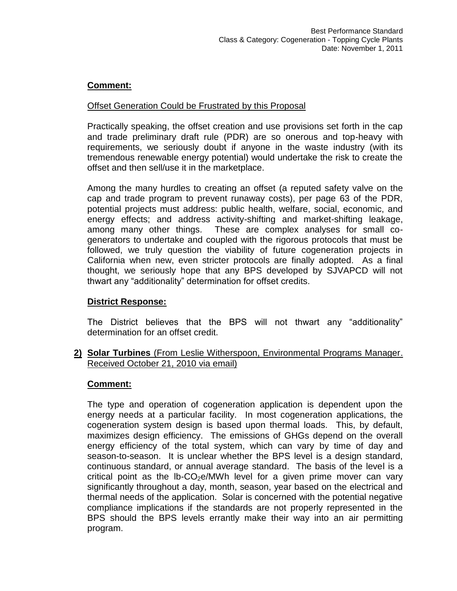#### Offset Generation Could be Frustrated by this Proposal

Practically speaking, the offset creation and use provisions set forth in the cap and trade preliminary draft rule (PDR) are so onerous and top-heavy with requirements, we seriously doubt if anyone in the waste industry (with its tremendous renewable energy potential) would undertake the risk to create the offset and then sell/use it in the marketplace.

Among the many hurdles to creating an offset (a reputed safety valve on the cap and trade program to prevent runaway costs), per page 63 of the PDR, potential projects must address: public health, welfare, social, economic, and energy effects; and address activity-shifting and market-shifting leakage, among many other things. These are complex analyses for small cogenerators to undertake and coupled with the rigorous protocols that must be followed, we truly question the viability of future cogeneration projects in California when new, even stricter protocols are finally adopted. As a final thought, we seriously hope that any BPS developed by SJVAPCD will not thwart any "additionality" determination for offset credits.

# **District Response:**

The District believes that the BPS will not thwart any "additionality" determination for an offset credit.

#### **2) Solar Turbines** (From Leslie Witherspoon, Environmental Programs Manager. Received October 21, 2010 via email)

#### **Comment:**

The type and operation of cogeneration application is dependent upon the energy needs at a particular facility. In most cogeneration applications, the cogeneration system design is based upon thermal loads. This, by default, maximizes design efficiency. The emissions of GHGs depend on the overall energy efficiency of the total system, which can vary by time of day and season-to-season. It is unclear whether the BPS level is a design standard, continuous standard, or annual average standard. The basis of the level is a critical point as the  $16-CO<sub>2</sub>e/MWh$  level for a given prime mover can vary significantly throughout a day, month, season, year based on the electrical and thermal needs of the application. Solar is concerned with the potential negative compliance implications if the standards are not properly represented in the BPS should the BPS levels errantly make their way into an air permitting program.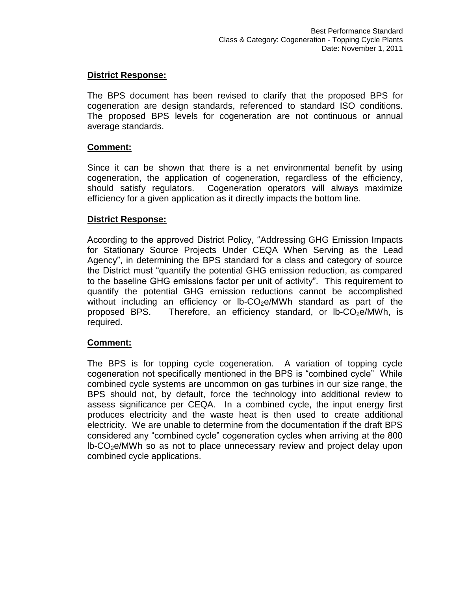#### **District Response:**

The BPS document has been revised to clarify that the proposed BPS for cogeneration are design standards, referenced to standard ISO conditions. The proposed BPS levels for cogeneration are not continuous or annual average standards.

#### **Comment:**

Since it can be shown that there is a net environmental benefit by using cogeneration, the application of cogeneration, regardless of the efficiency, should satisfy regulators. Cogeneration operators will always maximize efficiency for a given application as it directly impacts the bottom line.

#### **District Response:**

According to the approved District Policy, "Addressing GHG Emission Impacts for Stationary Source Projects Under CEQA When Serving as the Lead Agency", in determining the BPS standard for a class and category of source the District must "quantify the potential GHG emission reduction, as compared to the baseline GHG emissions factor per unit of activity". This requirement to quantify the potential GHG emission reductions cannot be accomplished without including an efficiency or  $lb$ -CO<sub>2</sub>e/MWh standard as part of the proposed BPS. Therefore, an efficiency standard, or  $lb$ -CO<sub>2</sub>e/MWh, is required.

#### **Comment:**

The BPS is for topping cycle cogeneration. A variation of topping cycle cogeneration not specifically mentioned in the BPS is "combined cycle" While combined cycle systems are uncommon on gas turbines in our size range, the BPS should not, by default, force the technology into additional review to assess significance per CEQA. In a combined cycle, the input energy first produces electricity and the waste heat is then used to create additional electricity. We are unable to determine from the documentation if the draft BPS considered any "combined cycle" cogeneration cycles when arriving at the 800 lb-CO2e/MWh so as not to place unnecessary review and project delay upon combined cycle applications.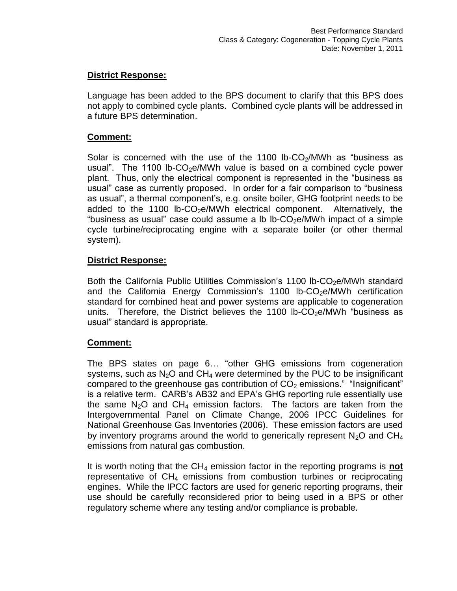#### **District Response:**

Language has been added to the BPS document to clarify that this BPS does not apply to combined cycle plants. Combined cycle plants will be addressed in a future BPS determination.

#### **Comment:**

Solar is concerned with the use of the 1100 lb-CO $_2$ /MWh as "business as usual". The 1100 lb- $CO<sub>2</sub>e/MWh$  value is based on a combined cycle power plant. Thus, only the electrical component is represented in the "business as usual" case as currently proposed. In order for a fair comparison to "business as usual", a thermal component's, e.g. onsite boiler, GHG footprint needs to be added to the 1100 lb- $CO<sub>2</sub>e/MWh$  electrical component. Alternatively, the "business as usual" case could assume a lb lb-CO<sub>2</sub>e/MWh impact of a simple cycle turbine/reciprocating engine with a separate boiler (or other thermal system).

#### **District Response:**

Both the California Public Utilities Commission's 1100 lb-CO<sub>2</sub>e/MWh standard and the California Energy Commission's 1100 lb-CO $_2$ e/MWh certification standard for combined heat and power systems are applicable to cogeneration units. Therefore, the District believes the 1100 lb-CO<sub>2</sub>e/MWh "business as usual" standard is appropriate.

#### **Comment:**

The BPS states on page 6… "other GHG emissions from cogeneration systems, such as  $N_2O$  and  $CH_4$  were determined by the PUC to be insignificant compared to the greenhouse gas contribution of  $CO<sub>2</sub>$  emissions." "Insignificant" is a relative term. CARB's AB32 and EPA's GHG reporting rule essentially use the same  $N_2O$  and  $CH_4$  emission factors. The factors are taken from the Intergovernmental Panel on Climate Change, 2006 IPCC Guidelines for National Greenhouse Gas Inventories (2006). These emission factors are used by inventory programs around the world to generically represent  $N_2O$  and  $CH_4$ emissions from natural gas combustion.

It is worth noting that the CH<sup>4</sup> emission factor in the reporting programs is **not** representative of  $CH<sub>4</sub>$  emissions from combustion turbines or reciprocating engines. While the IPCC factors are used for generic reporting programs, their use should be carefully reconsidered prior to being used in a BPS or other regulatory scheme where any testing and/or compliance is probable.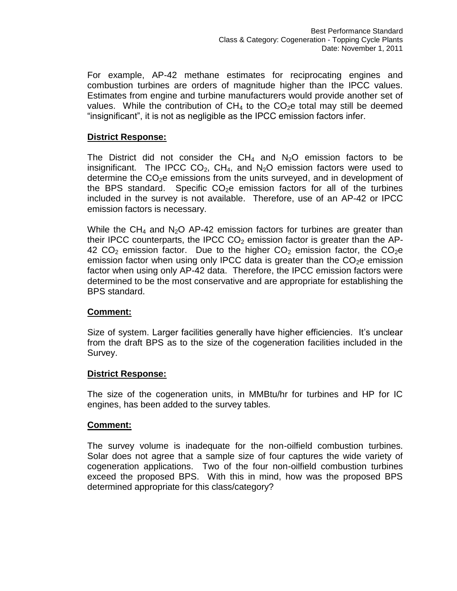For example, AP-42 methane estimates for reciprocating engines and combustion turbines are orders of magnitude higher than the IPCC values. Estimates from engine and turbine manufacturers would provide another set of values. While the contribution of  $CH_4$  to the  $CO_2e$  total may still be deemed "insignificant", it is not as negligible as the IPCC emission factors infer.

#### **District Response:**

The District did not consider the  $CH_4$  and  $N_2O$  emission factors to be insignificant. The IPCC  $CO<sub>2</sub>$ , CH<sub>4</sub>, and N<sub>2</sub>O emission factors were used to determine the  $CO<sub>2</sub>e$  emissions from the units surveyed, and in development of the BPS standard. Specific  $CO<sub>2</sub>e$  emission factors for all of the turbines included in the survey is not available. Therefore, use of an AP-42 or IPCC emission factors is necessary.

While the  $CH_4$  and N<sub>2</sub>O AP-42 emission factors for turbines are greater than their IPCC counterparts, the IPCC  $CO<sub>2</sub>$  emission factor is greater than the AP-42  $CO<sub>2</sub>$  emission factor. Due to the higher  $CO<sub>2</sub>$  emission factor, the  $CO<sub>2</sub>e$ emission factor when using only IPCC data is greater than the  $CO<sub>2</sub>e$  emission factor when using only AP-42 data. Therefore, the IPCC emission factors were determined to be the most conservative and are appropriate for establishing the BPS standard.

#### **Comment:**

Size of system. Larger facilities generally have higher efficiencies. It's unclear from the draft BPS as to the size of the cogeneration facilities included in the Survey.

#### **District Response:**

The size of the cogeneration units, in MMBtu/hr for turbines and HP for IC engines, has been added to the survey tables.

#### **Comment:**

The survey volume is inadequate for the non-oilfield combustion turbines. Solar does not agree that a sample size of four captures the wide variety of cogeneration applications. Two of the four non-oilfield combustion turbines exceed the proposed BPS. With this in mind, how was the proposed BPS determined appropriate for this class/category?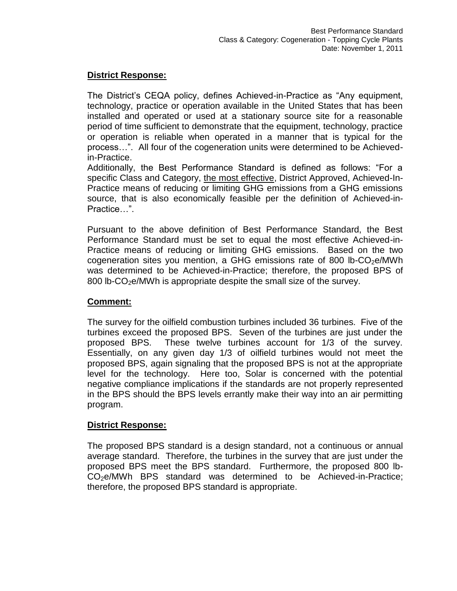#### **District Response:**

The District's CEQA policy, defines Achieved-in-Practice as "Any equipment, technology, practice or operation available in the United States that has been installed and operated or used at a stationary source site for a reasonable period of time sufficient to demonstrate that the equipment, technology, practice or operation is reliable when operated in a manner that is typical for the process…". All four of the cogeneration units were determined to be Achievedin-Practice.

Additionally, the Best Performance Standard is defined as follows: "For a specific Class and Category, the most effective, District Approved, Achieved-In-Practice means of reducing or limiting GHG emissions from a GHG emissions source, that is also economically feasible per the definition of Achieved-in-Practice…".

Pursuant to the above definition of Best Performance Standard, the Best Performance Standard must be set to equal the most effective Achieved-in-Practice means of reducing or limiting GHG emissions. Based on the two cogeneration sites you mention, a GHG emissions rate of 800 lb- $CO<sub>2</sub>e/MWh$ was determined to be Achieved-in-Practice; therefore, the proposed BPS of 800 lb- $CO<sub>2</sub>e/MWh$  is appropriate despite the small size of the survey.

#### **Comment:**

The survey for the oilfield combustion turbines included 36 turbines. Five of the turbines exceed the proposed BPS. Seven of the turbines are just under the proposed BPS. These twelve turbines account for 1/3 of the survey. Essentially, on any given day 1/3 of oilfield turbines would not meet the proposed BPS, again signaling that the proposed BPS is not at the appropriate level for the technology. Here too, Solar is concerned with the potential negative compliance implications if the standards are not properly represented in the BPS should the BPS levels errantly make their way into an air permitting program.

#### **District Response:**

The proposed BPS standard is a design standard, not a continuous or annual average standard. Therefore, the turbines in the survey that are just under the proposed BPS meet the BPS standard. Furthermore, the proposed 800 lb-CO<sub>2</sub>e/MWh BPS standard was determined to be Achieved-in-Practice; therefore, the proposed BPS standard is appropriate.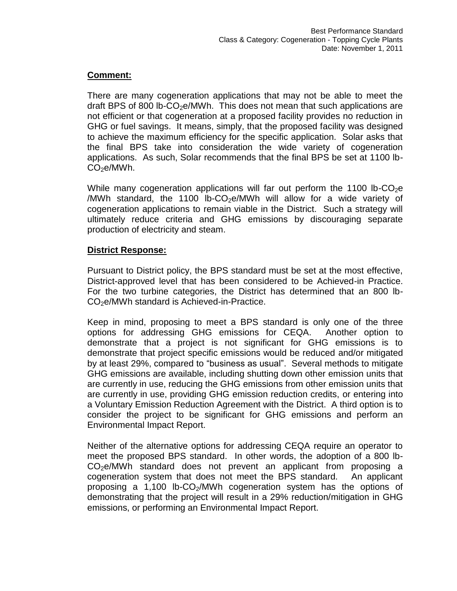There are many cogeneration applications that may not be able to meet the draft BPS of 800 lb-CO<sub>2</sub>e/MWh. This does not mean that such applications are not efficient or that cogeneration at a proposed facility provides no reduction in GHG or fuel savings. It means, simply, that the proposed facility was designed to achieve the maximum efficiency for the specific application. Solar asks that the final BPS take into consideration the wide variety of cogeneration applications. As such, Solar recommends that the final BPS be set at 1100 lb- $CO<sub>2</sub>e/MWh.$ 

While many cogeneration applications will far out perform the 1100 lb-CO<sub>2</sub>e /MWh standard, the 1100 lb-CO<sub>2</sub>e/MWh will allow for a wide variety of cogeneration applications to remain viable in the District. Such a strategy will ultimately reduce criteria and GHG emissions by discouraging separate production of electricity and steam.

# **District Response:**

Pursuant to District policy, the BPS standard must be set at the most effective, District-approved level that has been considered to be Achieved-in Practice. For the two turbine categories, the District has determined that an 800 lb-CO2e/MWh standard is Achieved-in-Practice.

Keep in mind, proposing to meet a BPS standard is only one of the three options for addressing GHG emissions for CEQA. Another option to demonstrate that a project is not significant for GHG emissions is to demonstrate that project specific emissions would be reduced and/or mitigated by at least 29%, compared to "business as usual". Several methods to mitigate GHG emissions are available, including shutting down other emission units that are currently in use, reducing the GHG emissions from other emission units that are currently in use, providing GHG emission reduction credits, or entering into a Voluntary Emission Reduction Agreement with the District. A third option is to consider the project to be significant for GHG emissions and perform an Environmental Impact Report.

Neither of the alternative options for addressing CEQA require an operator to meet the proposed BPS standard. In other words, the adoption of a 800 lb- $CO<sub>2</sub>e/MWh$  standard does not prevent an applicant from proposing a cogeneration system that does not meet the BPS standard. An applicant proposing a 1,100 lb-CO2/MWh cogeneration system has the options of demonstrating that the project will result in a 29% reduction/mitigation in GHG emissions, or performing an Environmental Impact Report.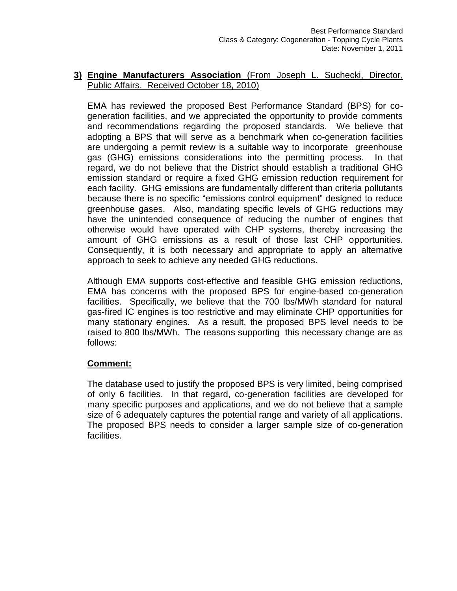#### **3) Engine Manufacturers Association** (From Joseph L. Suchecki, Director, Public Affairs. Received October 18, 2010)

EMA has reviewed the proposed Best Performance Standard (BPS) for cogeneration facilities, and we appreciated the opportunity to provide comments and recommendations regarding the proposed standards. We believe that adopting a BPS that will serve as a benchmark when co-generation facilities are undergoing a permit review is a suitable way to incorporate greenhouse gas (GHG) emissions considerations into the permitting process. In that regard, we do not believe that the District should establish a traditional GHG emission standard or require a fixed GHG emission reduction requirement for each facility. GHG emissions are fundamentally different than criteria pollutants because there is no specific "emissions control equipment" designed to reduce greenhouse gases. Also, mandating specific levels of GHG reductions may have the unintended consequence of reducing the number of engines that otherwise would have operated with CHP systems, thereby increasing the amount of GHG emissions as a result of those last CHP opportunities. Consequently, it is both necessary and appropriate to apply an alternative approach to seek to achieve any needed GHG reductions.

Although EMA supports cost-effective and feasible GHG emission reductions, EMA has concerns with the proposed BPS for engine-based co-generation facilities. Specifically, we believe that the 700 lbs/MWh standard for natural gas-fired IC engines is too restrictive and may eliminate CHP opportunities for many stationary engines. As a result, the proposed BPS level needs to be raised to 800 lbs/MWh. The reasons supporting this necessary change are as follows:

#### **Comment:**

The database used to justify the proposed BPS is very limited, being comprised of only 6 facilities. In that regard, co-generation facilities are developed for many specific purposes and applications, and we do not believe that a sample size of 6 adequately captures the potential range and variety of all applications. The proposed BPS needs to consider a larger sample size of co-generation facilities.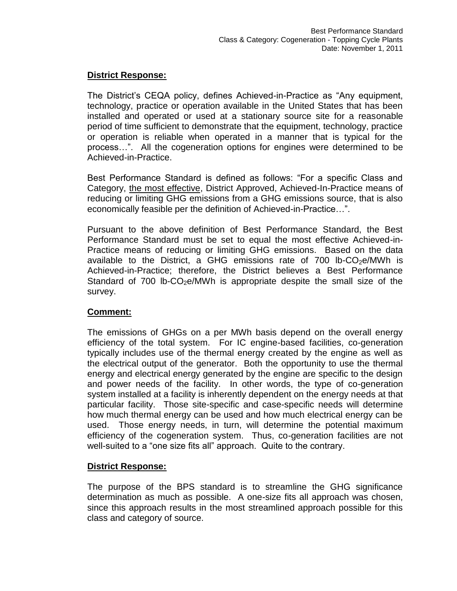#### **District Response:**

The District's CEQA policy, defines Achieved-in-Practice as "Any equipment, technology, practice or operation available in the United States that has been installed and operated or used at a stationary source site for a reasonable period of time sufficient to demonstrate that the equipment, technology, practice or operation is reliable when operated in a manner that is typical for the process…". All the cogeneration options for engines were determined to be Achieved-in-Practice.

Best Performance Standard is defined as follows: "For a specific Class and Category, the most effective, District Approved, Achieved-In-Practice means of reducing or limiting GHG emissions from a GHG emissions source, that is also economically feasible per the definition of Achieved-in-Practice…".

Pursuant to the above definition of Best Performance Standard, the Best Performance Standard must be set to equal the most effective Achieved-in-Practice means of reducing or limiting GHG emissions. Based on the data available to the District, a GHG emissions rate of  $700$  lb-CO<sub>2</sub>e/MWh is Achieved-in-Practice; therefore, the District believes a Best Performance Standard of 700 lb-CO<sub>2</sub>e/MWh is appropriate despite the small size of the survey.

#### **Comment:**

The emissions of GHGs on a per MWh basis depend on the overall energy efficiency of the total system. For IC engine-based facilities, co-generation typically includes use of the thermal energy created by the engine as well as the electrical output of the generator. Both the opportunity to use the thermal energy and electrical energy generated by the engine are specific to the design and power needs of the facility. In other words, the type of co-generation system installed at a facility is inherently dependent on the energy needs at that particular facility. Those site-specific and case-specific needs will determine how much thermal energy can be used and how much electrical energy can be used. Those energy needs, in turn, will determine the potential maximum efficiency of the cogeneration system. Thus, co-generation facilities are not well-suited to a "one size fits all" approach. Quite to the contrary.

#### **District Response:**

The purpose of the BPS standard is to streamline the GHG significance determination as much as possible. A one-size fits all approach was chosen, since this approach results in the most streamlined approach possible for this class and category of source.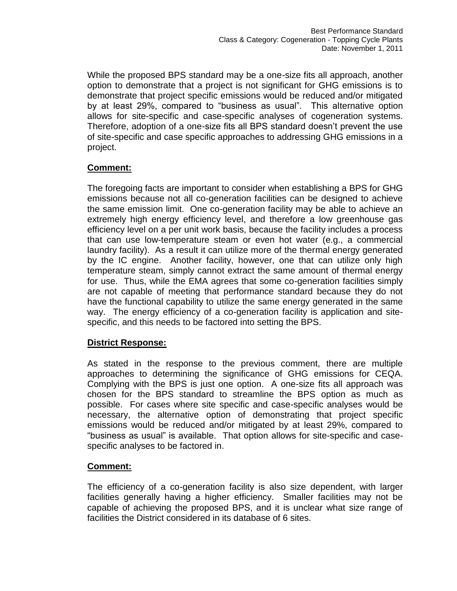While the proposed BPS standard may be a one-size fits all approach, another option to demonstrate that a project is not significant for GHG emissions is to demonstrate that project specific emissions would be reduced and/or mitigated by at least 29%, compared to "business as usual". This alternative option allows for site-specific and case-specific analyses of cogeneration systems. Therefore, adoption of a one-size fits all BPS standard doesn't prevent the use of site-specific and case specific approaches to addressing GHG emissions in a project.

# **Comment:**

The foregoing facts are important to consider when establishing a BPS for GHG emissions because not all co-generation facilities can be designed to achieve the same emission limit. One co-generation facility may be able to achieve an extremely high energy efficiency level, and therefore a low greenhouse gas efficiency level on a per unit work basis, because the facility includes a process that can use low-temperature steam or even hot water (e.g., a commercial laundry facility). As a result it can utilize more of the thermal energy generated by the IC engine. Another facility, however, one that can utilize only high temperature steam, simply cannot extract the same amount of thermal energy for use. Thus, while the EMA agrees that some co-generation facilities simply are not capable of meeting that performance standard because they do not have the functional capability to utilize the same energy generated in the same way. The energy efficiency of a co-generation facility is application and sitespecific, and this needs to be factored into setting the BPS.

# **District Response:**

As stated in the response to the previous comment, there are multiple approaches to determining the significance of GHG emissions for CEQA. Complying with the BPS is just one option. A one-size fits all approach was chosen for the BPS standard to streamline the BPS option as much as possible. For cases where site specific and case-specific analyses would be necessary, the alternative option of demonstrating that project specific emissions would be reduced and/or mitigated by at least 29%, compared to "business as usual" is available. That option allows for site-specific and casespecific analyses to be factored in.

# **Comment:**

The efficiency of a co-generation facility is also size dependent, with larger facilities generally having a higher efficiency. Smaller facilities may not be capable of achieving the proposed BPS, and it is unclear what size range of facilities the District considered in its database of 6 sites.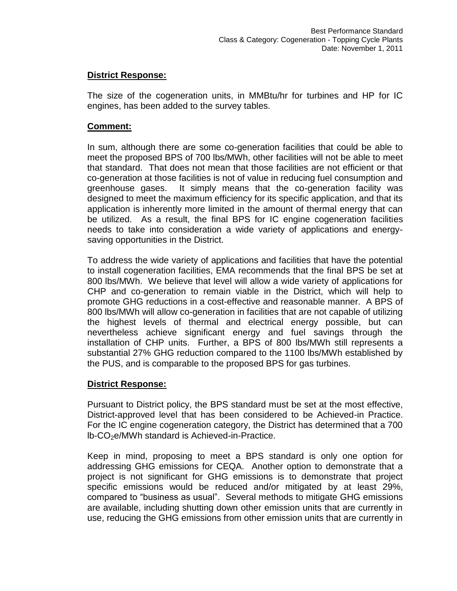#### **District Response:**

The size of the cogeneration units, in MMBtu/hr for turbines and HP for IC engines, has been added to the survey tables.

#### **Comment:**

In sum, although there are some co-generation facilities that could be able to meet the proposed BPS of 700 lbs/MWh, other facilities will not be able to meet that standard. That does not mean that those facilities are not efficient or that co-generation at those facilities is not of value in reducing fuel consumption and greenhouse gases. It simply means that the co-generation facility was designed to meet the maximum efficiency for its specific application, and that its application is inherently more limited in the amount of thermal energy that can be utilized. As a result, the final BPS for IC engine cogeneration facilities needs to take into consideration a wide variety of applications and energysaving opportunities in the District.

To address the wide variety of applications and facilities that have the potential to install cogeneration facilities, EMA recommends that the final BPS be set at 800 lbs/MWh. We believe that level will allow a wide variety of applications for CHP and co-generation to remain viable in the District, which will help to promote GHG reductions in a cost-effective and reasonable manner. A BPS of 800 lbs/MWh will allow co-generation in facilities that are not capable of utilizing the highest levels of thermal and electrical energy possible, but can nevertheless achieve significant energy and fuel savings through the installation of CHP units. Further, a BPS of 800 lbs/MWh still represents a substantial 27% GHG reduction compared to the 1100 lbs/MWh established by the PUS, and is comparable to the proposed BPS for gas turbines.

# **District Response:**

Pursuant to District policy, the BPS standard must be set at the most effective, District-approved level that has been considered to be Achieved-in Practice. For the IC engine cogeneration category, the District has determined that a 700  $lb$ -CO<sub>2</sub>e/MWh standard is Achieved-in-Practice.

Keep in mind, proposing to meet a BPS standard is only one option for addressing GHG emissions for CEQA. Another option to demonstrate that a project is not significant for GHG emissions is to demonstrate that project specific emissions would be reduced and/or mitigated by at least 29%, compared to "business as usual". Several methods to mitigate GHG emissions are available, including shutting down other emission units that are currently in use, reducing the GHG emissions from other emission units that are currently in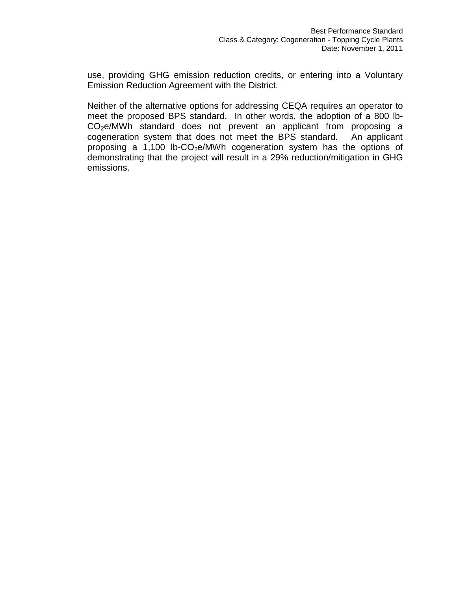use, providing GHG emission reduction credits, or entering into a Voluntary Emission Reduction Agreement with the District.

Neither of the alternative options for addressing CEQA requires an operator to meet the proposed BPS standard. In other words, the adoption of a 800 lb-CO<sub>2</sub>e/MWh standard does not prevent an applicant from proposing a cogeneration system that does not meet the BPS standard. An applicant proposing a 1,100 lb-CO<sub>2</sub>e/MWh cogeneration system has the options of demonstrating that the project will result in a 29% reduction/mitigation in GHG emissions.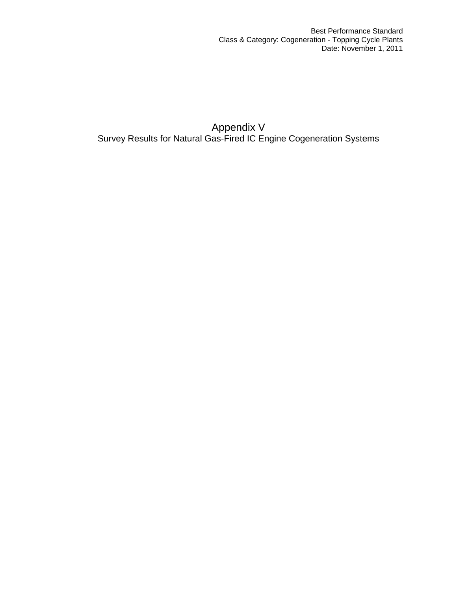Appendix V Survey Results for Natural Gas-Fired IC Engine Cogeneration Systems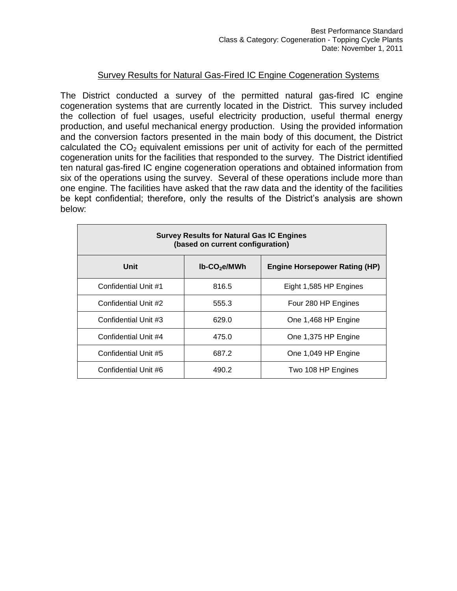#### Survey Results for Natural Gas-Fired IC Engine Cogeneration Systems

The District conducted a survey of the permitted natural gas-fired IC engine cogeneration systems that are currently located in the District. This survey included the collection of fuel usages, useful electricity production, useful thermal energy production, and useful mechanical energy production. Using the provided information and the conversion factors presented in the main body of this document, the District calculated the  $CO<sub>2</sub>$  equivalent emissions per unit of activity for each of the permitted cogeneration units for the facilities that responded to the survey. The District identified ten natural gas-fired IC engine cogeneration operations and obtained information from six of the operations using the survey. Several of these operations include more than one engine. The facilities have asked that the raw data and the identity of the facilities be kept confidential; therefore, only the results of the District's analysis are shown below:

| <b>Survey Results for Natural Gas IC Engines</b><br>(based on current configuration) |       |                                      |  |
|--------------------------------------------------------------------------------------|-------|--------------------------------------|--|
| Unit<br>$lb$ -CO <sub>2</sub> e/MWh                                                  |       | <b>Engine Horsepower Rating (HP)</b> |  |
| Confidential Unit #1                                                                 | 816.5 | Eight 1,585 HP Engines               |  |
| Confidential Unit #2                                                                 | 555.3 | Four 280 HP Engines                  |  |
| Confidential Unit #3                                                                 | 629.0 | One 1,468 HP Engine                  |  |
| Confidential Unit #4                                                                 | 475.0 | One 1,375 HP Engine                  |  |
| Confidential Unit #5                                                                 | 687.2 | One 1,049 HP Engine                  |  |
| Confidential Unit #6                                                                 | 490.2 | Two 108 HP Engines                   |  |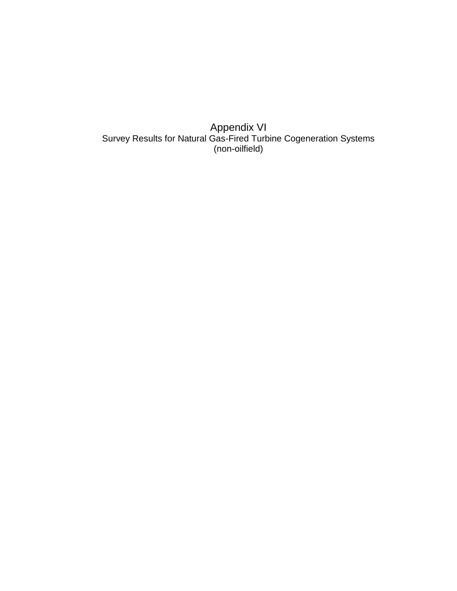Appendix VI Survey Results for Natural Gas-Fired Turbine Cogeneration Systems (non-oilfield)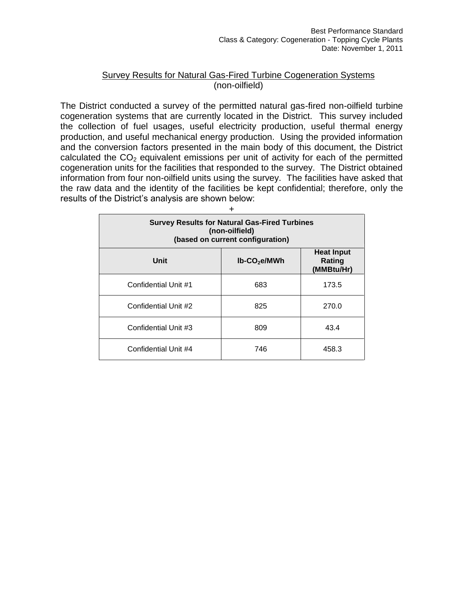#### Survey Results for Natural Gas-Fired Turbine Cogeneration Systems (non-oilfield)

The District conducted a survey of the permitted natural gas-fired non-oilfield turbine cogeneration systems that are currently located in the District. This survey included the collection of fuel usages, useful electricity production, useful thermal energy production, and useful mechanical energy production. Using the provided information and the conversion factors presented in the main body of this document, the District calculated the  $CO<sub>2</sub>$  equivalent emissions per unit of activity for each of the permitted cogeneration units for the facilities that responded to the survey. The District obtained information from four non-oilfield units using the survey. The facilities have asked that the raw data and the identity of the facilities be kept confidential; therefore, only the results of the District's analysis are shown below:

| ┿                                                                                                          |     |       |  |
|------------------------------------------------------------------------------------------------------------|-----|-------|--|
| <b>Survey Results for Natural Gas-Fired Turbines</b><br>(non-oilfield)<br>(based on current configuration) |     |       |  |
| <b>Heat Input</b><br>Unit<br>$lb$ -CO <sub>2</sub> e/MWh<br>Rating<br>(MMBtu/Hr)                           |     |       |  |
| Confidential Unit #1                                                                                       | 683 | 173.5 |  |
| Confidential Unit #2                                                                                       | 825 | 270.0 |  |
| Confidential Unit #3                                                                                       | 809 | 43.4  |  |
| Confidential Unit #4                                                                                       | 746 | 458.3 |  |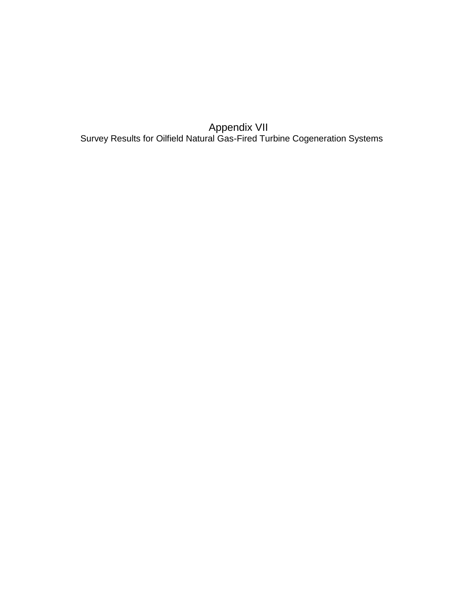Appendix VII Survey Results for Oilfield Natural Gas-Fired Turbine Cogeneration Systems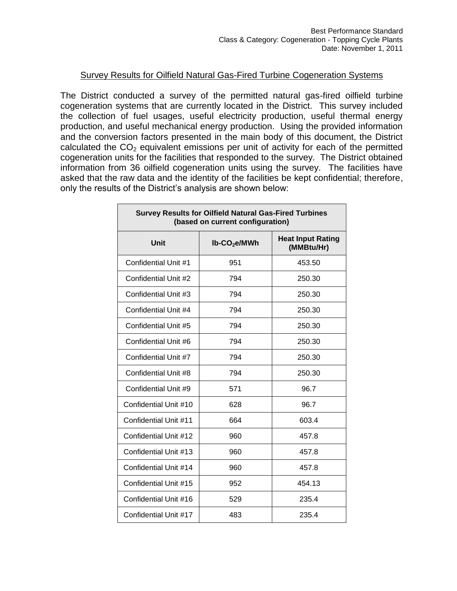#### Survey Results for Oilfield Natural Gas-Fired Turbine Cogeneration Systems

The District conducted a survey of the permitted natural gas-fired oilfield turbine cogeneration systems that are currently located in the District. This survey included the collection of fuel usages, useful electricity production, useful thermal energy production, and useful mechanical energy production. Using the provided information and the conversion factors presented in the main body of this document, the District calculated the  $CO<sub>2</sub>$  equivalent emissions per unit of activity for each of the permitted cogeneration units for the facilities that responded to the survey. The District obtained information from 36 oilfield cogeneration units using the survey. The facilities have asked that the raw data and the identity of the facilities be kept confidential; therefore, only the results of the District's analysis are shown below:

| <b>Survey Results for Oilfield Natural Gas-Fired Turbines</b><br>(based on current configuration) |                             |                                        |  |
|---------------------------------------------------------------------------------------------------|-----------------------------|----------------------------------------|--|
| Unit                                                                                              | $lb$ -CO <sub>2</sub> e/MWh | <b>Heat Input Rating</b><br>(MMBtu/Hr) |  |
| Confidential Unit #1                                                                              | 951                         | 453.50                                 |  |
| Confidential Unit #2                                                                              | 794                         | 250.30                                 |  |
| Confidential Unit #3                                                                              | 794                         | 250.30                                 |  |
| Confidential Unit #4                                                                              | 794                         | 250.30                                 |  |
| Confidential Unit #5                                                                              | 794                         | 250.30                                 |  |
| Confidential Unit #6                                                                              | 794                         | 250.30                                 |  |
| Confidential Unit #7                                                                              | 794                         | 250.30                                 |  |
| Confidential Unit #8                                                                              | 794                         | 250.30                                 |  |
| Confidential Unit #9                                                                              | 571                         | 96.7                                   |  |
| Confidential Unit #10                                                                             | 628                         | 96.7                                   |  |
| Confidential Unit #11                                                                             | 664                         | 603.4                                  |  |
| Confidential Unit #12                                                                             | 960                         | 457.8                                  |  |
| Confidential Unit #13                                                                             | 960                         | 457.8                                  |  |
| Confidential Unit #14                                                                             | 960                         | 457.8                                  |  |
| Confidential Unit #15                                                                             | 952                         | 454.13                                 |  |
| Confidential Unit #16                                                                             | 529                         | 235.4                                  |  |
| Confidential Unit #17                                                                             | 483                         | 235.4                                  |  |